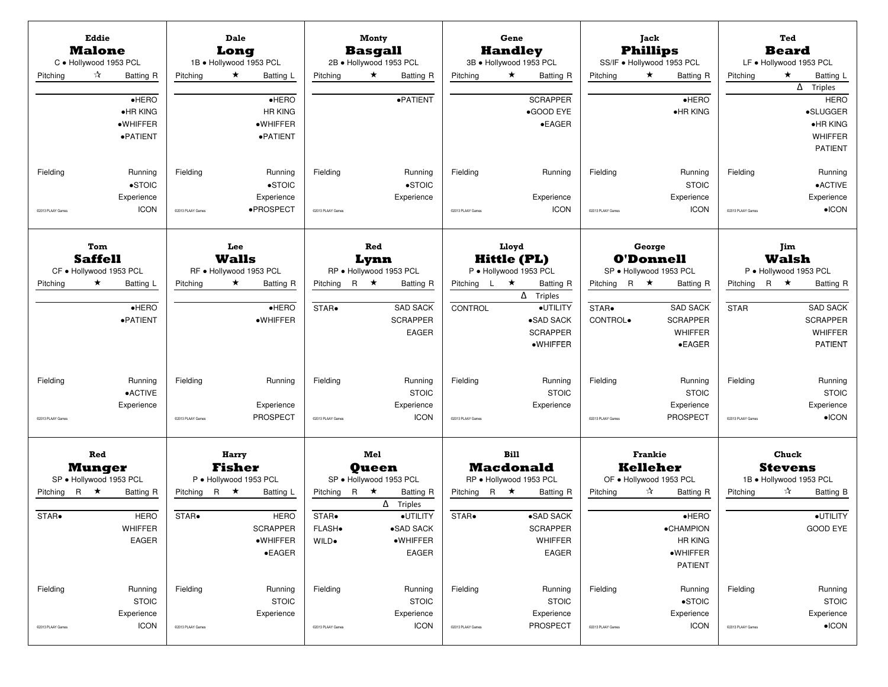| Pitching                      | Eddie<br><b>Malone</b><br>C · Hollywood 1953 PCL<br>☆<br><b>Batting R</b> | Pitching                      | Dale<br>Long<br>1B · Hollywood 1953 PCL<br>$\star$<br>Batting L                         | Pitching                             | Monty<br><b>Basgall</b><br>2B · Hollywood 1953 PCL<br>$\star$<br><b>Batting R</b>               | Pitching                      | Gene<br><b>Handley</b><br>3B · Hollywood 1953 PCL<br>$\star$<br>Batting R                             | Pitching                                | Jack<br><b>Phillips</b><br>SS/IF . Hollywood 1953 PCL<br>$\star$<br>Batting R                  | Pitching                      | Ted<br><b>Beard</b><br>LF . Hollywood 1953 PCL<br>$\star$<br>Batting L                                          |
|-------------------------------|---------------------------------------------------------------------------|-------------------------------|-----------------------------------------------------------------------------------------|--------------------------------------|-------------------------------------------------------------------------------------------------|-------------------------------|-------------------------------------------------------------------------------------------------------|-----------------------------------------|------------------------------------------------------------------------------------------------|-------------------------------|-----------------------------------------------------------------------------------------------------------------|
|                               | $e$ HERO<br>•HR KING<br>·WHIFFER<br>·PATIENT                              |                               | $e$ HERO<br><b>HR KING</b><br>·WHIFFER<br>·PATIENT                                      |                                      | ·PATIENT                                                                                        |                               | <b>SCRAPPER</b><br>•GOOD EYE<br>$\bullet$ EAGER                                                       |                                         | $e$ HERO<br>•HR KING                                                                           |                               | $\overline{\Delta}$ Triples<br><b>HERO</b><br>·SLUGGER<br>$\bullet$ HR KING<br><b>WHIFFER</b><br><b>PATIENT</b> |
| Fielding<br>@2013 PLAAY Games | Running<br>$\bullet$ STOIC<br>Experience<br><b>ICON</b>                   | Fielding<br>@2013 PLAAY Games | Running<br>$\bullet$ STOIC<br>Experience<br>·PROSPECT                                   | Fielding<br>@2013 PLAAY Games        | Running<br>$\bullet$ STOIC<br>Experience                                                        | Fielding<br>@2013 PLAAY Games | Running<br>Experience<br><b>ICON</b>                                                                  | Fielding<br>@2013 PLAAY Games           | Running<br><b>STOIC</b><br>Experience<br><b>ICON</b>                                           | Fielding<br>@2013 PLAAY Games | Running<br>•ACTIVE<br>Experience<br>$\bullet$ ICON                                                              |
|                               | Tom<br><b>Saffell</b><br>CF · Hollywood 1953 PCL                          |                               | Lee<br><b>Walls</b><br>RF · Hollywood 1953 PCL                                          |                                      | Red<br>Lynn<br>RP · Hollywood 1953 PCL                                                          |                               | Lloyd<br><b>Hittle (PL)</b><br>P · Hollywood 1953 PCL                                                 |                                         | George<br><b>O'Donnell</b><br>SP · Hollywood 1953 PCL                                          |                               | Jim<br>Walsh<br>P · Hollywood 1953 PCL                                                                          |
| Pitching                      | $\star$<br>Batting L<br>$e$ HERO<br>·PATIENT                              | Pitching                      | $\star$<br><b>Batting R</b><br>$\bullet$ HERO<br>·WHIFFER                               | Pitching<br>STAR.                    | R $\star$<br><b>Batting R</b><br><b>SAD SACK</b><br><b>SCRAPPER</b><br><b>EAGER</b>             | Pitching $L \star$<br>CONTROL | <b>Batting R</b><br>$\Delta$ Triples<br>·UTILITY<br>·SAD SACK<br><b>SCRAPPER</b><br>$\bullet$ WHIFFER | Pitching R $\star$<br>STAR.<br>CONTROL. | <b>Batting R</b><br><b>SAD SACK</b><br><b>SCRAPPER</b><br>WHIFFER<br>$\bullet$ EAGER           | Pitching<br><b>STAR</b>       | $R \star$<br><b>Batting R</b><br><b>SAD SACK</b><br><b>SCRAPPER</b><br><b>WHIFFER</b><br><b>PATIENT</b>         |
| Fielding<br>C2013 PLAAY Games | Running<br><b>•ACTIVE</b><br>Experience                                   | Fielding<br>@2013 PLAAY Games | Running<br>Experience<br><b>PROSPECT</b>                                                | Fielding<br>@2013 PLAAY Games        | Running<br><b>STOIC</b><br>Experience<br><b>ICON</b>                                            | Fielding<br>@2013 PLAAY Games | Running<br><b>STOIC</b><br>Experience                                                                 | Fielding<br>@2013 PLAAY Games           | Running<br><b>STOIC</b><br>Experience<br><b>PROSPECT</b>                                       | Fielding<br>@2013 PLAAY Games | Running<br><b>STOIC</b><br>Experience<br>$\bullet$ ICON                                                         |
|                               | Red<br><b>Munger</b><br>SP · Hollywood 1953 PCL                           |                               | Harry<br><b>Fisher</b><br>P · Hollywood 1953 PCL                                        |                                      | Mel<br><b>Oueen</b><br>SP · Hollywood 1953 PCL                                                  |                               | <b>Bill</b><br><b>Macdonald</b><br>RP · Hollywood 1953 PCL                                            |                                         | <b>Frankie</b><br>Kelleher<br>OF . Hollywood 1953 PCL                                          |                               | Chuck<br><b>Stevens</b><br>1B · Hollywood 1953 PCL                                                              |
| Pitching R $\star$<br>STAR.   | <b>Batting R</b><br><b>HERO</b><br><b>WHIFFER</b><br>EAGER                | Pitching<br>STAR.             | R $\star$<br>Batting L<br><b>HERO</b><br><b>SCRAPPER</b><br>·WHIFFER<br>$\bullet$ EAGER | Pitching<br>STAR.<br>FLASH.<br>WILD. | R $\star$<br><b>Batting R</b><br>$\Delta$ Triples<br>·UTILITY<br>•SAD SACK<br>·WHIFFER<br>EAGER | Pitching R $\star$<br>STAR.   | <b>Batting R</b><br>·SAD SACK<br><b>SCRAPPER</b><br>WHIFFER<br>EAGER                                  | Pitching                                | ☆<br><b>Batting R</b><br>$e$ HERO<br>•CHAMPION<br><b>HR KING</b><br>·WHIFFER<br><b>PATIENT</b> | Pitching                      | ☆<br>Batting B<br>·UTILITY<br>GOOD EYE                                                                          |
| Fielding<br>02013 PLAAY Games | Running<br><b>STOIC</b><br>Experience<br><b>ICON</b>                      | Fielding<br>@2013 PLAAY Games | Running<br><b>STOIC</b><br>Experience                                                   | Fielding<br>@2013 PLAAY Games        | Running<br><b>STOIC</b><br>Experience<br><b>ICON</b>                                            | Fielding<br>@2013 PLAAY Games | Running<br><b>STOIC</b><br>Experience<br><b>PROSPECT</b>                                              | Fielding<br>02013 PLAAY Games           | Running<br>$\bullet$ STOIC<br>Experience<br><b>ICON</b>                                        | Fielding<br>@2013 PLAAY Games | Running<br><b>STOIC</b><br>Experience<br>$\bullet$ ICON                                                         |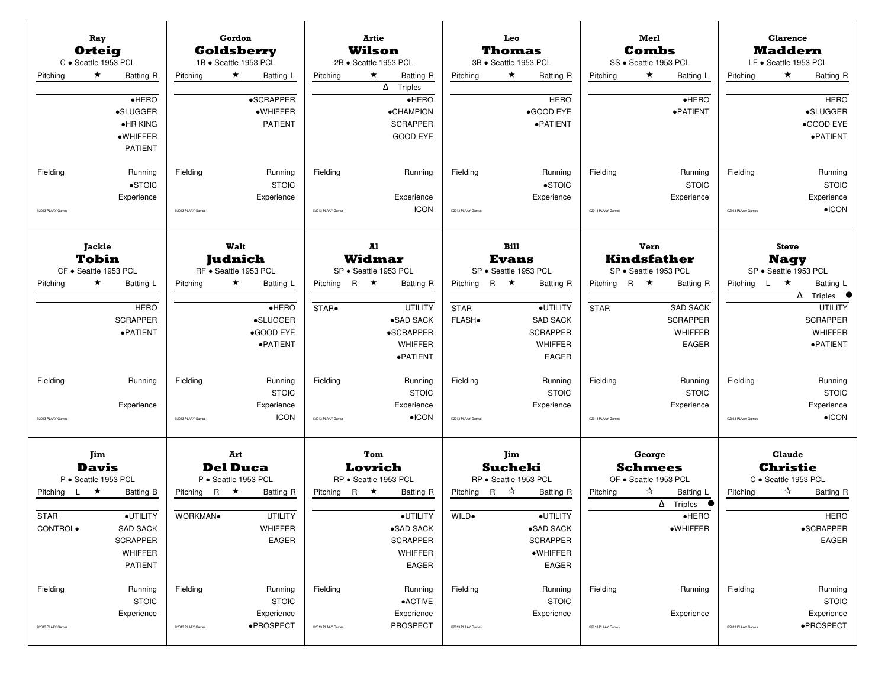| Ray<br><b>Orteig</b><br>C · Seattle 1953 PCL<br>$\star$<br>Pitching          | Batting R<br>$e$ HERO<br>•SLUGGER                                                           | Pitching                      | Gordon<br><b>Goldsberry</b><br>1B · Seattle 1953 PCL<br>$\star$<br>Batting L<br>•SCRAPPER<br>·WHIFFER | <b>Artie</b><br>Wilson<br>2B · Seattle 1953 PCL<br>$\star$<br>Pitching | Batting R<br>$\overline{\Delta}$ Triples<br>$e$ HERO<br>•CHAMPION                          | Pitching                                       | Leo<br>Thomas<br>3B · Seattle 1953 PCL<br>★<br>Batting R<br><b>HERO</b><br>•GOOD EYE                                          | Pitching                          | Merl<br><b>Combs</b><br>SS · Seattle 1953 PCL<br>$\star$<br>Batting L<br>$\bullet$ HERO<br>·PATIENT               | Pitching                      | <b>Clarence</b><br><b>Maddern</b><br>LF · Seattle 1953 PCL<br>$\star$<br>Batting R<br><b>HERO</b><br>•SLUGGER                              |
|------------------------------------------------------------------------------|---------------------------------------------------------------------------------------------|-------------------------------|-------------------------------------------------------------------------------------------------------|------------------------------------------------------------------------|--------------------------------------------------------------------------------------------|------------------------------------------------|-------------------------------------------------------------------------------------------------------------------------------|-----------------------------------|-------------------------------------------------------------------------------------------------------------------|-------------------------------|--------------------------------------------------------------------------------------------------------------------------------------------|
| Fielding<br>C2013 PLAAY Games                                                | $\bullet$ HR KING<br>·WHIFFER<br><b>PATIENT</b><br>Running<br>$\bullet$ STOIC<br>Experience | Fielding<br>@2013 PLAAY Games | <b>PATIENT</b><br>Running<br><b>STOIC</b><br>Experience                                               | Fielding<br>C2013 PLAAY Games                                          | <b>SCRAPPER</b><br><b>GOOD EYE</b><br>Running<br>Experience<br><b>ICON</b>                 | Fielding<br>@2013 PLAAY Games                  | ·PATIENT<br>Running<br>$\bullet$ STOIC<br>Experience                                                                          | Fielding<br>@2013 PLAAY Games     | Running<br><b>STOIC</b><br>Experience                                                                             | Fielding<br>@2013 PLAAY Games | •GOOD EYE<br>·PATIENT<br>Running<br><b>STOIC</b><br>Experience<br>$\bullet$ ICON                                                           |
| <b>Jackie</b><br><b>Tobin</b>                                                |                                                                                             |                               | Walt<br><b>Judnich</b>                                                                                | A1<br>Widmar                                                           |                                                                                            |                                                | <b>Bill</b><br><b>Evans</b>                                                                                                   |                                   | Vern<br><b>Kindsfather</b>                                                                                        |                               | <b>Steve</b><br><b>Nagy</b>                                                                                                                |
| CF · Seattle 1953 PCL<br>$\star$<br>Pitching                                 | Batting L<br><b>HERO</b><br><b>SCRAPPER</b><br>·PATIENT                                     | Pitching                      | RF · Seattle 1953 PCL<br>$\star$<br>Batting L<br>$e$ HERO<br>·SLUGGER<br>•GOOD EYE<br>·PATIENT        | SP · Seattle 1953 PCL<br>Pitching R $\star$<br>STAR.                   | <b>Batting R</b><br><b>UTILITY</b><br>•SAD SACK<br>•SCRAPPER<br><b>WHIFFER</b><br>·PATIENT | R $\star$<br>Pitching<br><b>STAR</b><br>FLASH. | SP · Seattle 1953 PCL<br><b>Batting R</b><br>·UTILITY<br><b>SAD SACK</b><br><b>SCRAPPER</b><br><b>WHIFFER</b><br><b>EAGER</b> | Pitching R $\star$<br><b>STAR</b> | SP · Seattle 1953 PCL<br><b>Batting R</b><br><b>SAD SACK</b><br><b>SCRAPPER</b><br><b>WHIFFER</b><br><b>EAGER</b> | Pitching                      | SP · Seattle 1953 PCL<br>L *<br>Batting L<br>$\Delta$ Triples $\bullet$<br><b>UTILITY</b><br><b>SCRAPPER</b><br><b>WHIFFER</b><br>·PATIENT |
| Fielding<br>C2013 PLAAY Games                                                | Running<br>Experience                                                                       | Fielding<br>@2013 PLAAY Games | Running<br><b>STOIC</b><br>Experience<br><b>ICON</b>                                                  | Fielding<br>@2013 PLAAY Games                                          | Running<br><b>STOIC</b><br>Experience<br>$\bullet$ ICON                                    | Fielding<br>@2013 PLAAY Games                  | Running<br><b>STOIC</b><br>Experience                                                                                         | Fielding<br>@2013 PLAAY Games     | Running<br><b>STOIC</b><br>Experience                                                                             | Fielding<br>@2013 PLAAY Games | Running<br><b>STOIC</b><br>Experience<br>$\bullet$ ICON                                                                                    |
| Jim<br><b>Davis</b><br>P · Seattle 1953 PCL<br>Pitching<br>$\mathsf{L}$<br>★ | <b>Batting B</b>                                                                            | Pitching R $\star$            | Art<br><b>Del Duca</b><br>P · Seattle 1953 PCL<br><b>Batting R</b>                                    | Tom<br>Lovrich<br>RP · Seattle 1953 PCL<br>Pitching R $\star$          | <b>Batting R</b>                                                                           | R ☆<br>Pitching                                | Jim<br><b>Sucheki</b><br>RP · Seattle 1953 PCL<br><b>Batting R</b>                                                            | Pitching                          | George<br><b>Schmees</b><br>OF · Seattle 1953 PCL<br>☆<br>Batting L<br>$\Delta$ Triples                           | Pitching                      | Claude<br><b>Christie</b><br>C · Seattle 1953 PCL<br>☆<br><b>Batting R</b>                                                                 |
| <b>STAR</b><br>CONTROL.                                                      | ·UTILITY<br><b>SAD SACK</b><br><b>SCRAPPER</b><br>WHIFFER<br>PATIENT                        | WORKMAN.                      | <b>UTILITY</b><br>WHIFFER<br><b>EAGER</b>                                                             |                                                                        | ·UTILITY<br>•SAD SACK<br><b>SCRAPPER</b><br>WHIFFER<br>EAGER                               | WILD.                                          | ·UTILITY<br>$\bullet$ SAD SACK<br><b>SCRAPPER</b><br>·WHIFFER<br>EAGER                                                        |                                   | $\bullet$ HERO<br>·WHIFFER                                                                                        |                               | <b>HERO</b><br>•SCRAPPER<br>EAGER                                                                                                          |
| Fielding<br>@2013 PLAAY Games                                                | Running<br><b>STOIC</b><br>Experience                                                       | Fielding<br>@2013 PLAAY Games | Running<br><b>STOIC</b><br>Experience<br>·PROSPECT                                                    | Fielding<br>@2013 PLAAY Games                                          | Running<br><b>•ACTIVE</b><br>Experience<br><b>PROSPECT</b>                                 | Fielding<br>@2013 PLAAY Games                  | Running<br><b>STOIC</b><br>Experience                                                                                         | Fielding<br>@2013 PLAAY Games     | Running<br>Experience                                                                                             | Fielding<br>@2013 PLAAY Games | Running<br><b>STOIC</b><br>Experience<br>·PROSPECT                                                                                         |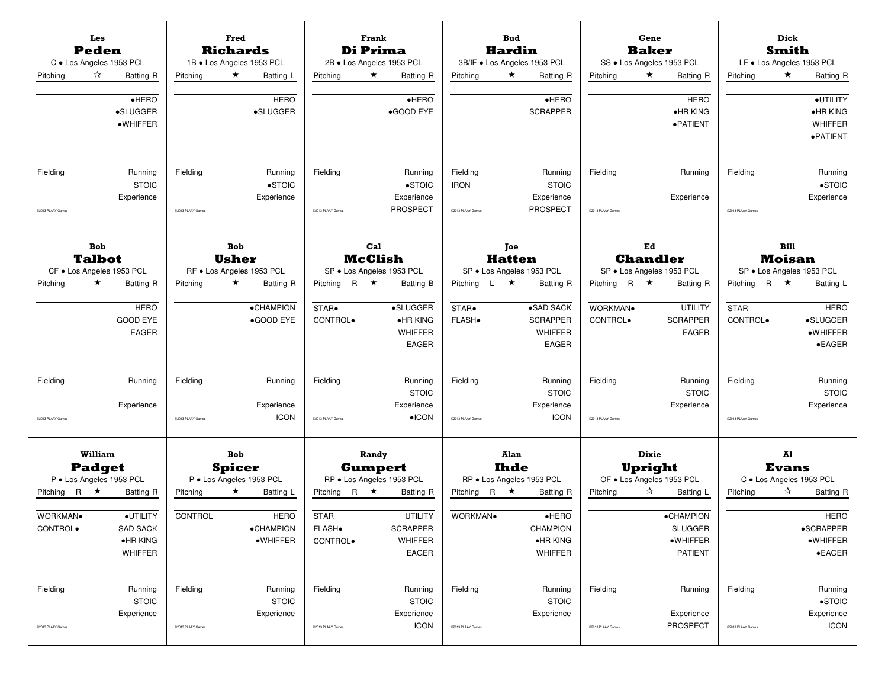| Pitching                                   | Les<br><b>Peden</b><br>C · Los Angeles 1953 PCL<br>☆<br><b>Batting R</b> | Pitching                      | <b>Fred</b><br><b>Richards</b><br>1B · Los Angeles 1953 PCL<br>$\star$<br>Batting L | Pitching                                                   | Frank<br>Di Prima<br>2B · Los Angeles 1953 PCL<br>$\star$<br><b>Batting R</b>    | Pitching                                     | <b>Bud</b><br><b>Hardin</b><br>3B/IF . Los Angeles 1953 PCL<br>$\star$<br><b>Batting R</b> | Pitching                      | Gene<br><b>Baker</b><br>SS . Los Angeles 1953 PCL<br>$\star$<br><b>Batting R</b> | Pitching                      | Dick<br>Smith<br>LF . Los Angeles 1953 PCL<br>$\star$<br>Batting R        |
|--------------------------------------------|--------------------------------------------------------------------------|-------------------------------|-------------------------------------------------------------------------------------|------------------------------------------------------------|----------------------------------------------------------------------------------|----------------------------------------------|--------------------------------------------------------------------------------------------|-------------------------------|----------------------------------------------------------------------------------|-------------------------------|---------------------------------------------------------------------------|
|                                            | $\bullet$ HERO<br>•SLUGGER<br>$\bullet$ WHIFFER                          |                               | <b>HERO</b><br>·SLUGGER                                                             |                                                            | $\bullet$ HERO<br>•GOOD EYE                                                      |                                              | $e$ HERO<br><b>SCRAPPER</b>                                                                |                               | <b>HERO</b><br>•HR KING<br>·PATIENT                                              |                               | ·UTILITY<br>•HR KING<br><b>WHIFFER</b><br>$\bullet$ PATIENT               |
| Fielding<br>C2013 PLAAY Games              | Running<br><b>STOIC</b><br>Experience                                    | Fielding<br>@2013 PLAAY Games | Running<br>$\bullet$ STOIC<br>Experience                                            | Fielding<br>@2013 PLAAY Games                              | Running<br>$\bullet$ STOIC<br>Experience<br><b>PROSPECT</b>                      | Fielding<br><b>IRON</b><br>@2013 PLAAY Games | Running<br><b>STOIC</b><br>Experience<br><b>PROSPECT</b>                                   | Fielding<br>@2013 PLAAY Games | Running<br>Experience                                                            | Fielding<br>@2013 PLAAY Games | Running<br>$\bullet$ STOIC<br>Experience                                  |
|                                            | <b>Bob</b><br><b>Talbot</b>                                              |                               | <b>Bob</b><br>Usher                                                                 |                                                            | Cal<br><b>McClish</b>                                                            |                                              | <b>Toe</b><br><b>Hatten</b>                                                                |                               | Ed<br><b>Chandler</b>                                                            |                               | <b>Bill</b><br><b>Moisan</b>                                              |
| Pitching                                   | CF . Los Angeles 1953 PCL<br>$\star$<br><b>Batting R</b>                 | Pitching                      | RF · Los Angeles 1953 PCL<br>$\star$<br><b>Batting R</b>                            | Pitching                                                   | SP · Los Angeles 1953 PCL<br>R $\star$<br>Batting B                              | L ★<br>Pitching                              | SP · Los Angeles 1953 PCL<br><b>Batting R</b>                                              | Pitching R $\star$            | SP · Los Angeles 1953 PCL<br><b>Batting R</b>                                    | Pitching                      | SP · Los Angeles 1953 PCL<br>R $\star$<br>Batting L                       |
|                                            | <b>HERO</b><br><b>GOOD EYE</b><br><b>EAGER</b>                           |                               | ·CHAMPION<br>•GOOD EYE                                                              | STAR.<br>CONTROL.                                          | ·SLUGGER<br>$\bullet$ HR KING<br><b>WHIFFER</b><br><b>EAGER</b>                  | STAR.<br><b>FLASH</b> .                      | $\overline{\bullet}$ SAD SACK<br><b>SCRAPPER</b><br><b>WHIFFER</b><br><b>EAGER</b>         | WORKMAN.<br>CONTROL.          | <b>UTILITY</b><br><b>SCRAPPER</b><br><b>EAGER</b>                                | <b>STAR</b><br>CONTROL.       | <b>HERO</b><br>·SLUGGER<br>·WHIFFER<br>$\bullet$ EAGER                    |
| Fielding                                   | Running<br>Experience                                                    | Fielding                      | Running<br>Experience                                                               | Fielding                                                   | Running<br><b>STOIC</b><br>Experience                                            | Fielding                                     | Running<br><b>STOIC</b><br>Experience                                                      | Fielding                      | Running<br><b>STOIC</b><br>Experience                                            | Fielding                      | Running<br><b>STOIC</b><br>Experience                                     |
| C2013 PLAAY Games                          |                                                                          | @2013 PLAAY Games             | <b>ICON</b>                                                                         | @2013 PLAAY Games                                          | $\bullet$ ICON                                                                   | @2013 PLAAY Games                            | <b>ICON</b>                                                                                | @2013 PLAAY Games             |                                                                                  | @2013 PLAAY Games             |                                                                           |
|                                            | William<br><b>Padget</b><br>P · Los Angeles 1953 PCL                     |                               | <b>Bob</b><br><b>Spicer</b><br>P · Los Angeles 1953 PCL                             |                                                            | Randy<br><b>Gumpert</b><br>RP . Los Angeles 1953 PCL                             |                                              | Alan<br>Ihde<br>RP · Los Angeles 1953 PCL                                                  |                               | Dixie<br>Upright<br>OF . Los Angeles 1953 PCL                                    |                               | Al<br><b>Evans</b><br>C . Los Angeles 1953 PCL                            |
| Pitching R $\star$<br>WORKMAN.<br>CONTROL. | <b>Batting R</b><br>·UTILITY<br>SAD SACK<br>$\bullet$ HR KING<br>WHIFFER | Pitching<br>CONTROL           | $\star$<br>Batting L<br><b>HERO</b><br>·CHAMPION<br>·WHIFFER                        | R $\star$<br>Pitching<br><b>STAR</b><br>FLASH.<br>CONTROL. | <b>Batting R</b><br><b>UTILITY</b><br><b>SCRAPPER</b><br><b>WHIFFER</b><br>EAGER | Pitching R $\star$<br>WORKMAN.               | <b>Batting R</b><br>$e$ HERO<br>CHAMPION<br>•HR KING<br>WHIFFER                            | Pitching                      | ☆<br>Batting L<br><b>•CHAMPION</b><br><b>SLUGGER</b><br>·WHIFFER<br>PATIENT      | Pitching                      | ☆<br>Batting R<br><b>HERO</b><br>•SCRAPPER<br>·WHIFFER<br>$\bullet$ EAGER |
| Fielding<br>02013 PLAAY Games              | Running<br><b>STOIC</b><br>Experience                                    | Fielding<br>@2013 PLAAY Games | Running<br><b>STOIC</b><br>Experience                                               | Fielding<br>@2013 PLAAY Games                              | Running<br><b>STOIC</b><br>Experience<br>ICON                                    | Fielding<br>@2013 PLAAY Games                | Running<br><b>STOIC</b><br>Experience                                                      | Fielding<br>@2013 PLAAY Games | Running<br>Experience<br><b>PROSPECT</b>                                         | Fielding<br>@2013 PLAAY Games | Running<br>$\bullet$ STOIC<br>Experience<br><b>ICON</b>                   |
|                                            |                                                                          |                               |                                                                                     |                                                            |                                                                                  |                                              |                                                                                            |                               |                                                                                  |                               |                                                                           |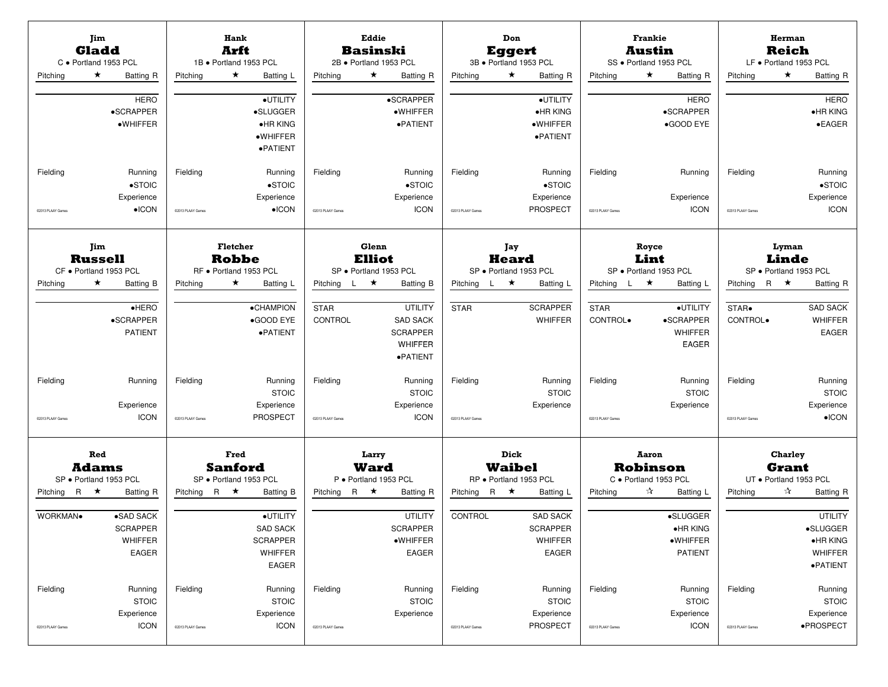| C · Portland 1953 PCL<br>Pitching                                             | Jim<br><b>Gladd</b><br>$\star$   | Batting R<br><b>HERO</b><br>•SCRAPPER<br>·WHIFFER                                          | Pitching                                | Hank<br>Arft<br>$\star$                    | 1B · Portland 1953 PCL<br>Batting L<br>·UTILITY<br>•SLUGGER<br>•HR KING<br>·WHIFFER<br>·PATIENT                                            | Pitching                                                 | Eddie<br>$\star$       | <b>Basinski</b><br>2B · Portland 1953 PCL<br><b>Batting R</b><br>•SCRAPPER<br>·WHIFFER<br>·PATIENT                                                                 | Pitching                                           | Don<br><b>Eggert</b><br>$\star$ | 3B · Portland 1953 PCL<br>Batting R<br>·UTILITY<br>•HR KING<br>·WHIFFER<br>·PATIENT                               | Pitching                                                  | <b>Frankie</b><br>Austin<br>$\star$ | SS · Portland 1953 PCL<br>Batting R<br><b>HERO</b><br>•SCRAPPER<br>•GOOD EYE                                                            | LF · Portland 1953 PCL<br>Pitching                                            | Herman<br><b>Reich</b><br>$\star$   | <b>Batting R</b><br><b>HERO</b><br>$\bullet$ HR KING<br>$\bullet$ EAGER                                 |
|-------------------------------------------------------------------------------|----------------------------------|--------------------------------------------------------------------------------------------|-----------------------------------------|--------------------------------------------|--------------------------------------------------------------------------------------------------------------------------------------------|----------------------------------------------------------|------------------------|--------------------------------------------------------------------------------------------------------------------------------------------------------------------|----------------------------------------------------|---------------------------------|-------------------------------------------------------------------------------------------------------------------|-----------------------------------------------------------|-------------------------------------|-----------------------------------------------------------------------------------------------------------------------------------------|-------------------------------------------------------------------------------|-------------------------------------|---------------------------------------------------------------------------------------------------------|
| Fielding<br>@2013 PLAAY Games                                                 |                                  | Running<br>$\bullet$ STOIC<br>Experience<br>$\bullet$ ICON                                 | Fielding<br>@2013 PLAAY Games           |                                            | Running<br>$\bullet$ STOIC<br>Experience<br>$\bullet$ ICON                                                                                 | Fielding<br>@2013 PLAAY Games                            |                        | Running<br>$\bullet$ STOIC<br>Experience<br><b>ICON</b>                                                                                                            | Fielding<br>@2013 PLAAY Games                      |                                 | Running<br>$\bullet$ STOIC<br>Experience<br><b>PROSPECT</b>                                                       | Fielding<br>@2013 PLAAY Games                             |                                     | Running<br>Experience<br><b>ICON</b>                                                                                                    | Fielding<br>@2013 PLAAY Games                                                 |                                     | Running<br>$\bullet$ STOIC<br>Experience<br><b>ICON</b>                                                 |
| CF · Portland 1953 PCL<br>Pitching<br>Fielding                                | Jim<br><b>Russell</b><br>$\star$ | Batting B<br>$e$ HERO<br>$\bullet$ SCRAPPER<br><b>PATIENT</b><br>Running<br>Experience     | Pitching<br>Fielding                    | <b>Fletcher</b><br><b>Robbe</b><br>$\star$ | RF · Portland 1953 PCL<br>Batting L<br>·CHAMPION<br>•GOOD EYE<br>·PATIENT<br>Running<br><b>STOIC</b><br>Experience                         | Pitching L $\star$<br><b>STAR</b><br>CONTROL<br>Fielding | Glenn<br><b>Elliot</b> | SP · Portland 1953 PCL<br>Batting B<br><b>UTILITY</b><br><b>SAD SACK</b><br><b>SCRAPPER</b><br><b>WHIFFER</b><br>·PATIENT<br>Running<br><b>STOIC</b><br>Experience | Pitching $L \star$<br><b>STAR</b><br>Fielding      | Jay<br><b>Heard</b>             | SP · Portland 1953 PCL<br>Batting L<br><b>SCRAPPER</b><br><b>WHIFFER</b><br>Running<br><b>STOIC</b><br>Experience | Pitching $L \star$<br><b>STAR</b><br>CONTROL.<br>Fielding | Royce<br>Lint                       | SP · Portland 1953 PCL<br>Batting L<br>·UTILITY<br>•SCRAPPER<br><b>WHIFFER</b><br><b>EAGER</b><br>Running<br><b>STOIC</b><br>Experience | SP · Portland 1953 PCL<br>Pitching R $\star$<br>STAR.<br>CONTROL.<br>Fielding | Lyman<br>Linde                      | Batting R<br><b>SAD SACK</b><br><b>WHIFFER</b><br><b>EAGER</b><br>Running<br><b>STOIC</b><br>Experience |
| C2013 PLAAY Games<br>SP · Portland 1953 PCL<br>Pitching R $\star$<br>WORKMAN. | Red<br><b>Adams</b>              | <b>ICON</b><br><b>Batting R</b><br>•SAD SACK<br><b>SCRAPPER</b><br><b>WHIFFER</b><br>EAGER | @2013 PLAAY Games<br>Pitching R $\star$ | <b>Fred</b><br><b>Sanford</b>              | <b>PROSPECT</b><br>SP · Portland 1953 PCL<br><b>Batting B</b><br>·UTILITY<br><b>SAD SACK</b><br><b>SCRAPPER</b><br>WHIFFER<br><b>EAGER</b> | @2013 PLAAY Games<br>Pitching R $\star$                  | Larry<br><b>Ward</b>   | <b>ICON</b><br>P · Portland 1953 PCL<br><b>Batting R</b><br><b>UTILITY</b><br><b>SCRAPPER</b><br>·WHIFFER<br>EAGER                                                 | @2013 PLAAY Games<br>Pitching R $\star$<br>CONTROL | Dick<br><b>Waibel</b>           | RP · Portland 1953 PCL<br>Batting L<br><b>SAD SACK</b><br><b>SCRAPPER</b><br>WHIFFER<br>EAGER                     | @2013 PLAAY Games<br>Pitching                             | Aaron<br>☆                          | <b>Robinson</b><br>C · Portland 1953 PCL<br>Batting L<br>·SLUGGER<br>•HR KING<br>·WHIFFER<br><b>PATIENT</b>                             | @2013 PLAAY Games<br>UT . Portland 1953 PCL<br>Pitching                       | <b>Charley</b><br><b>Grant</b><br>☆ | $\bullet$ ICON<br>Batting R<br><b>UTILITY</b><br>•SLUGGER<br>·HR KING<br>WHIFFER<br>·PATIENT            |
| Fielding<br>02013 PLAAY Games                                                 |                                  | Running<br><b>STOIC</b><br>Experience<br><b>ICON</b>                                       | Fielding<br>@2013 PLAAY Games           |                                            | Running<br><b>STOIC</b><br>Experience<br><b>ICON</b>                                                                                       | Fielding<br>@2013 PLAAY Games                            |                        | Running<br><b>STOIC</b><br>Experience                                                                                                                              | Fielding<br>@2013 PLAAY Games                      |                                 | Running<br><b>STOIC</b><br>Experience<br><b>PROSPECT</b>                                                          | Fielding<br>@2013 PLAAY Games                             |                                     | Running<br><b>STOIC</b><br>Experience<br><b>ICON</b>                                                                                    | Fielding<br>@2013 PLAAY Games                                                 |                                     | Running<br><b>STOIC</b><br>Experience<br>·PROSPECT                                                      |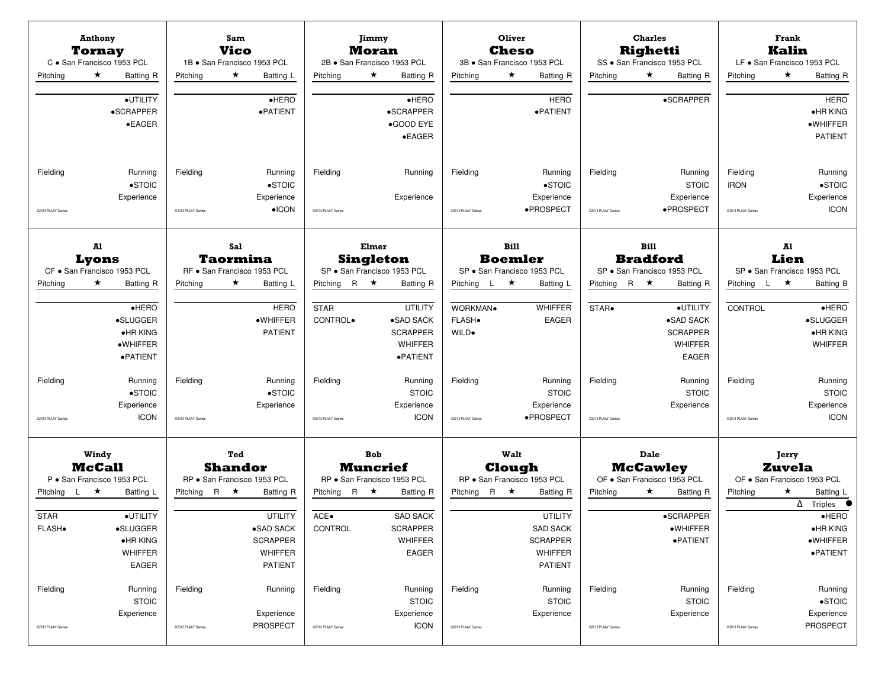|                                     | <b>Anthony</b><br>Tornay<br>C · San Francisco 1953 PCL                                       |                               | <b>Sam</b><br><b>Vico</b><br>1B · San Francisco 1953 PCL                                        |                                       | Jimmy<br>Moran<br>2B · San Francisco 1953 PCL                                  |                               | Oliver<br>Cheso<br>3B · San Francisco 1953 PCL                                                        |                               | <b>Charles</b><br><b>Righetti</b><br>SS · San Francisco 1953 PCL    |                                              | Frank<br><b>Kalin</b><br>LF · San Francisco 1953 PCL                                                                           |
|-------------------------------------|----------------------------------------------------------------------------------------------|-------------------------------|-------------------------------------------------------------------------------------------------|---------------------------------------|--------------------------------------------------------------------------------|-------------------------------|-------------------------------------------------------------------------------------------------------|-------------------------------|---------------------------------------------------------------------|----------------------------------------------|--------------------------------------------------------------------------------------------------------------------------------|
| Pitching                            | $\star$<br>Batting R<br>·UTILITY<br>•SCRAPPER<br>$\bullet$ EAGER                             | Pitching                      | ★<br>Batting L<br>$e$ HERO<br>·PATIENT                                                          | Pitching                              | ★<br><b>Batting R</b><br>$e$ HERO<br>•SCRAPPER<br>•GOOD EYE<br>$\bullet$ EAGER | Pitching                      | ★<br>Batting R<br><b>HERO</b><br>·PATIENT                                                             | Pitching                      | $\star$<br>Batting R<br>•SCRAPPER                                   | Pitching                                     | $\star$<br><b>Batting R</b><br><b>HERO</b><br>$\bullet$ HR KING<br>·WHIFFER<br><b>PATIENT</b>                                  |
| Fielding<br>02013 PLAAY Games       | Running<br>$\bullet$ STOIC<br>Experience                                                     | Fielding<br>@2013 PLAAY Games | Running<br>$\bullet$ STOIC<br>Experience<br>$\bullet$ ICON                                      | Fielding<br>@2013 PLAAY Games         | Running<br>Experience                                                          | Fielding<br>@2013 PLAAY Games | Running<br>$\bullet$ STOIC<br>Experience<br>·PROSPECT                                                 | Fielding<br>@2013 PLAAY Games | Running<br><b>STOIC</b><br>Experience<br>·PROSPECT                  | Fielding<br><b>IRON</b><br>@2013 PLAAY Games | Running<br>$\bullet$ STOIC<br>Experience<br><b>ICON</b>                                                                        |
|                                     | Al<br>Lyons                                                                                  |                               | <b>Sal</b><br><b>Taormina</b>                                                                   |                                       | Elmer<br><b>Singleton</b>                                                      |                               | <b>Bill</b><br><b>Boemler</b>                                                                         |                               | <b>Bill</b><br><b>Bradford</b>                                      |                                              | A1<br>Lien                                                                                                                     |
| Pitching                            | CF · San Francisco 1953 PCL<br>$\star$<br>Batting R                                          | Pitching                      | RF · San Francisco 1953 PCL<br>$\star$<br>Batting L                                             | R $\star$<br>Pitching                 | SP · San Francisco 1953 PCL<br><b>Batting R</b>                                | Pitching $L \star$            | SP · San Francisco 1953 PCL<br>Batting L                                                              | Pitching R $\star$            | SP · San Francisco 1953 PCL<br>Batting R                            | Pitching L                                   | SP · San Francisco 1953 PCL<br>$\star$<br><b>Batting B</b>                                                                     |
|                                     | $e$ HERO<br>·SLUGGER<br>•HR KING<br>·WHIFFER<br>·PATIENT                                     |                               | <b>HERO</b><br>·WHIFFER<br><b>PATIENT</b>                                                       | <b>STAR</b><br>CONTROL.               | <b>UTILITY</b><br>·SAD SACK<br><b>SCRAPPER</b><br><b>WHIFFER</b><br>·PATIENT   | WORKMAN.<br>FLASH.<br>WILD.   | WHIFFER<br><b>EAGER</b>                                                                               | STAR.                         | ·UTILITY<br>•SAD SACK<br><b>SCRAPPER</b><br>WHIFFER<br><b>EAGER</b> | CONTROL                                      | $\bullet$ HERO<br>$\bullet$ SLUGGER<br>$\bullet$ HR KING<br><b>WHIFFER</b>                                                     |
| Fielding                            | Running<br>$\bullet$ STOIC<br>Experience                                                     | Fielding                      | Running<br>$\bullet$ STOIC<br>Experience                                                        | Fielding                              | Running<br><b>STOIC</b><br>Experience                                          | Fielding                      | Running<br><b>STOIC</b><br>Experience                                                                 | Fielding                      | Running<br><b>STOIC</b><br>Experience                               | Fielding                                     | Running<br><b>STOIC</b><br>Experience                                                                                          |
| C2013 PLAAY Games                   | <b>ICON</b>                                                                                  | @2013 PLAAY Games             |                                                                                                 | @2013 PLAAY Games                     | <b>ICON</b>                                                                    | 02013 PLAAY Games             | ·PROSPECT                                                                                             | @2013 PLAAY Games             |                                                                     | @2013 PLAAY Games                            | <b>ICON</b>                                                                                                                    |
|                                     | Windy<br><b>McCall</b><br>P · San Francisco 1953 PCL                                         |                               | Ted<br><b>Shandor</b><br>RP · San Francisco 1953 PCL                                            |                                       | <b>Bob</b><br><b>Muncrief</b><br>RP · San Francisco 1953 PCL                   |                               | Walt<br>Clough<br>RP · San Francisco 1953 PCL                                                         |                               | <b>Dale</b><br><b>McCawley</b><br>OF . San Francisco 1953 PCL       |                                              | Jerry<br><b>Zuvela</b><br>OF . San Francisco 1953 PCL                                                                          |
| Pitching L<br><b>STAR</b><br>FLASH. | $\star$<br>Batting L<br>·UTILITY<br>·SLUGGER<br>$\bullet$ HR KING<br>WHIFFER<br><b>EAGER</b> | Pitching R $\star$            | <b>Batting R</b><br><b>UTILITY</b><br>•SAD SACK<br><b>SCRAPPER</b><br>WHIFFER<br><b>PATIENT</b> | Pitching R $\star$<br>ACE.<br>CONTROL | <b>Batting R</b><br><b>SAD SACK</b><br><b>SCRAPPER</b><br>WHIFFER<br>EAGER     | Pitching R $\star$            | <b>Batting R</b><br><b>UTILITY</b><br><b>SAD SACK</b><br><b>SCRAPPER</b><br>WHIFFER<br><b>PATIENT</b> | Pitching                      | $\star$<br><b>Batting R</b><br>•SCRAPPER<br>·WHIFFER<br>·PATIENT    | Pitching                                     | ★<br>Batting L<br>$\overline{\Delta}$ Triples<br>$\bullet$ HERO<br>$\bullet$ HR KING<br>$\bullet$ WHIFFER<br>$\bullet$ PATIENT |
| Fielding<br>02013 PLAAY Games       | Running<br><b>STOIC</b><br>Experience                                                        | Fielding<br>@2013 PLAAY Games | Running<br>Experience<br><b>PROSPECT</b>                                                        | Fielding<br>@2013 PLAAY Games         | Running<br><b>STOIC</b><br>Experience<br><b>ICON</b>                           | Fielding<br>@2013 PLAAY Games | Running<br><b>STOIC</b><br>Experience                                                                 | Fielding<br>@2013 PLAAY Games | Running<br><b>STOIC</b><br>Experience                               | Fielding<br>@2013 PLAAY Games                | Running<br>$\bullet$ STOIC<br>Experience<br>PROSPECT                                                                           |
|                                     |                                                                                              |                               |                                                                                                 |                                       |                                                                                |                               |                                                                                                       |                               |                                                                     |                                              |                                                                                                                                |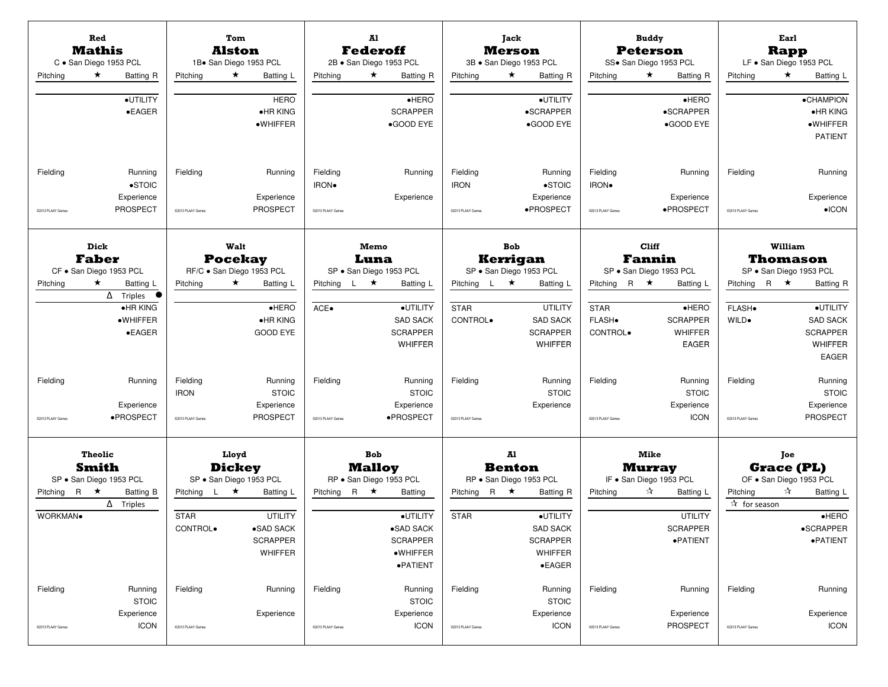| Red<br><b>Mathis</b><br>C · San Diego 1953 PCL                                                                       | Tom<br>Alston<br>1Bo San Diego 1953 PCL                                                                                 | A1<br><b>Federoff</b><br>2B · San Diego 1953 PCL                                                     | Jack<br><b>Merson</b><br>3B · San Diego 1953 PCL                                                                                      | <b>Buddy</b><br><b>Peterson</b><br>SS. San Diego 1953 PCL                                                | Earl<br><b>Rapp</b><br>LF · San Diego 1953 PCL                                                                                |
|----------------------------------------------------------------------------------------------------------------------|-------------------------------------------------------------------------------------------------------------------------|------------------------------------------------------------------------------------------------------|---------------------------------------------------------------------------------------------------------------------------------------|----------------------------------------------------------------------------------------------------------|-------------------------------------------------------------------------------------------------------------------------------|
| $\star$<br>Pitching<br>Batting R<br>·UTILITY<br>$\bullet$ EAGER                                                      | $\star$<br>Pitching<br>Batting L<br><b>HERO</b><br>•HR KING<br>·WHIFFER                                                 | $\star$<br>Pitching<br>Batting R<br>$\bullet$ HERO<br><b>SCRAPPER</b><br>•GOOD EYE                   | $\star$<br>Pitching<br>Batting R<br>·UTILITY<br>•SCRAPPER<br>•GOOD EYE                                                                | $\star$<br>Pitching<br><b>Batting R</b><br>$\bullet$ HERO<br>•SCRAPPER<br>•GOOD EYE                      | $\star$<br>Pitching<br>Batting L<br><b>•CHAMPION</b><br>$\bullet$ HR KING<br>$\bullet$ WHIFFER<br><b>PATIENT</b>              |
| Running<br>Fielding<br>$\bullet$ STOIC<br>Experience<br><b>PROSPECT</b><br>C2013 PLAAY Games                         | Fielding<br>Running<br>Experience<br><b>PROSPECT</b><br>02013 PLAAY Games                                               | Fielding<br>Running<br>IRON.<br>Experience<br>@2013 PLAAY Games                                      | Fielding<br>Running<br><b>IRON</b><br>$\bullet$ STOIC<br>Experience<br>·PROSPECT<br>@2013 PLAAY Games                                 | Fielding<br>Running<br>IRON.<br>Experience<br>·PROSPECT<br>02013 PLAAY Games                             | Fielding<br>Running<br>Experience<br>$\bullet$ ICON<br>@2013 PLAAY Games                                                      |
| Dick<br><b>Faber</b><br>CF · San Diego 1953 PCL<br>$\star$<br>Pitching<br>Batting L<br>$\Delta$ Triples<br>$\bullet$ | Walt<br><b>Pocekay</b><br>RF/C · San Diego 1953 PCL<br>$\star$<br>Pitching<br>Batting L                                 | Memo<br>Luna<br>SP · San Diego 1953 PCL<br>Pitching L $\star$<br>Batting L                           | <b>Bob</b><br><b>Kerrigan</b><br>SP · San Diego 1953 PCL<br>Pitching L $\star$<br>Batting L                                           | Cliff<br><b>Fannin</b><br>SP · San Diego 1953 PCL<br>Pitching R $\star$<br>Batting L                     | William<br>Thomason<br>SP · San Diego 1953 PCL<br>Pitching R $\star$<br>Batting R                                             |
| $\bullet$ HR KING<br>·WHIFFER<br>$\bullet$ EAGER                                                                     | $e$ HERO<br>•HR KING<br><b>GOOD EYE</b>                                                                                 | ·UTILITY<br>ACE.<br><b>SAD SACK</b><br><b>SCRAPPER</b><br><b>WHIFFER</b>                             | <b>STAR</b><br><b>UTILITY</b><br>CONTROL.<br><b>SAD SACK</b><br><b>SCRAPPER</b><br><b>WHIFFER</b>                                     | $\bullet$ HERO<br><b>STAR</b><br>FLASH.<br><b>SCRAPPER</b><br><b>WHIFFER</b><br>CONTROL.<br><b>EAGER</b> | ·UTILITY<br>FLASH.<br><b>SAD SACK</b><br>WILD.<br><b>SCRAPPER</b><br><b>WHIFFER</b><br>EAGER                                  |
| Fielding<br>Running<br>Experience<br>·PROSPECT<br>@2013 PLAAY Games                                                  | Fielding<br>Running<br><b>IRON</b><br><b>STOIC</b><br>Experience<br><b>PROSPECT</b><br>@2013 PLAAY Games                | Fielding<br>Running<br><b>STOIC</b><br>Experience<br>·PROSPECT<br>@2013 PLAAY Games                  | Fielding<br>Running<br><b>STOIC</b><br>Experience<br>@2013 PLAAY Games                                                                | Fielding<br>Running<br><b>STOIC</b><br>Experience<br><b>ICON</b><br>@2013 PLAAY Games                    | Fielding<br>Running<br><b>STOIC</b><br>Experience<br><b>PROSPECT</b><br>@2013 PLAAY Games                                     |
| <b>Theolic</b><br><b>Smith</b><br>SP · San Diego 1953 PCL                                                            | Lloyd<br><b>Dickey</b><br>SP · San Diego 1953 PCL                                                                       | <b>Bob</b><br><b>Malloy</b><br>RP · San Diego 1953 PCL                                               | Al<br><b>Benton</b><br>RP · San Diego 1953 PCL                                                                                        | Mike<br><b>Murray</b><br>IF . San Diego 1953 PCL                                                         | Joe<br><b>Grace (PL)</b><br>OF . San Diego 1953 PCL                                                                           |
| Pitching R $\star$<br>Batting B<br>$\Delta$ Triples<br>WORKMAN.                                                      | Pitching L $\star$<br>Batting L<br><b>UTILITY</b><br><b>STAR</b><br>•SAD SACK<br>CONTROL.<br><b>SCRAPPER</b><br>WHIFFER | Pitching<br>R $\star$<br>Batting<br>·UTILITY<br>●SAD SACK<br><b>SCRAPPER</b><br>·WHIFFER<br>·PATIENT | Pitching R $\star$<br><b>Batting R</b><br>·UTILITY<br><b>STAR</b><br><b>SAD SACK</b><br><b>SCRAPPER</b><br>WHIFFER<br>$\bullet$ EAGER | ☆<br>Pitching<br>Batting L<br><b>UTILITY</b><br><b>SCRAPPER</b><br>·PATIENT                              | ☆<br>Pitching<br>Batting L<br>$\overline{\mathbf{r}}$ for season<br>$\bullet$ HERO<br>$\bullet$ SCRAPPER<br>$\bullet$ PATIENT |
| Fielding<br>Running<br><b>STOIC</b><br>Experience<br><b>ICON</b><br>@2013 PLAAY Games                                | Fielding<br>Running<br>Experience<br>@2013 PLAAY Games                                                                  | Fielding<br>Running<br><b>STOIC</b><br>Experience<br><b>ICON</b><br>@2013 PLAAY Games                | Fielding<br>Running<br><b>STOIC</b><br>Experience<br><b>ICON</b><br>@2013 PLAAY Games                                                 | Fielding<br>Running<br>Experience<br><b>PROSPECT</b><br>@2013 PLAAY Games                                | Fielding<br>Running<br>Experience<br><b>ICON</b><br>@2013 PLAAY Games                                                         |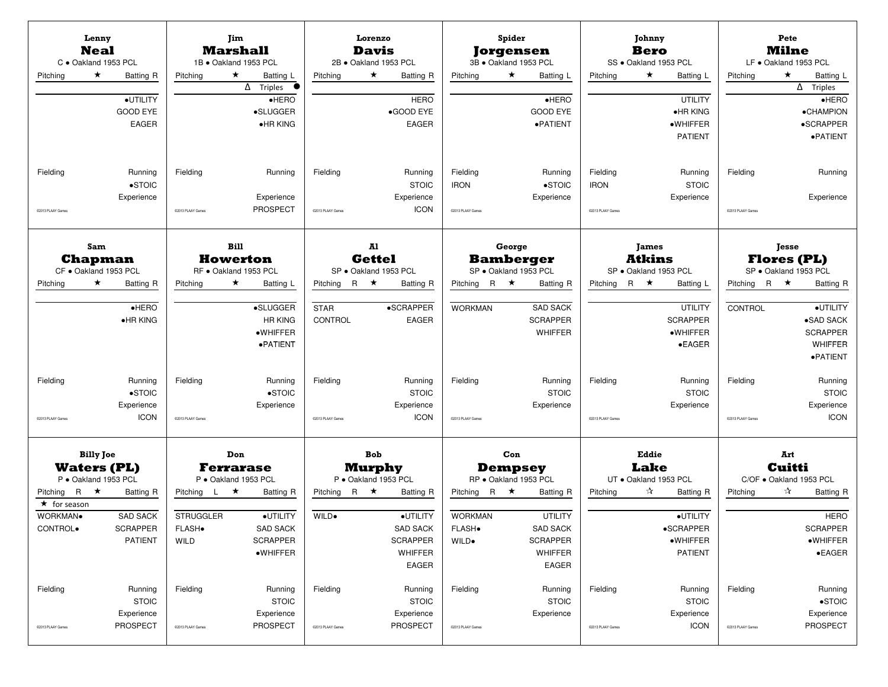| Lenny<br><b>Neal</b><br>C · Oakland 1953 PCL<br>$\star$<br>Pitching | Batting R                                                  | Pitching                                                 | Jim<br><b>Marshall</b><br>1B · Oakland 1953 PCL<br>★<br>Batting L<br>$\overline{\Delta}$ Triples<br>$\bullet$ | Pitching                       | Lorenzo<br>Davis<br>2B · Oakland 1953 PCL<br>★<br><b>Batting R</b>                     | Pitching                                                | Spider<br><b>Jorgensen</b><br>3B · Oakland 1953 PCL<br>$\star$<br>Batting L                  | Pitching                                     | Johnny<br><b>Bero</b><br>SS · Oakland 1953 PCL<br>★<br>Batting L                      | Pitching                      | Pete<br><b>Milne</b><br>LF . Oakland 1953 PCL<br>★<br>Batting L<br>$\overline{\Delta}$ Triples  |
|---------------------------------------------------------------------|------------------------------------------------------------|----------------------------------------------------------|---------------------------------------------------------------------------------------------------------------|--------------------------------|----------------------------------------------------------------------------------------|---------------------------------------------------------|----------------------------------------------------------------------------------------------|----------------------------------------------|---------------------------------------------------------------------------------------|-------------------------------|-------------------------------------------------------------------------------------------------|
|                                                                     | ·UTILITY<br><b>GOOD EYE</b><br><b>EAGER</b>                |                                                          | HERO<br>·SLUGGER<br>•HR KING                                                                                  |                                | <b>HERO</b><br>•GOOD EYE<br><b>EAGER</b>                                               |                                                         | $\bullet$ HERO<br><b>GOOD EYE</b><br>·PATIENT                                                |                                              | <b>UTILITY</b><br>$\bullet$ HR KING<br>·WHIFFER<br><b>PATIENT</b>                     |                               | $\bullet$ HERO<br><b>•CHAMPION</b><br>•SCRAPPER<br>·PATIENT                                     |
| Fielding<br>C2013 PLAAY Games                                       | Running<br>$\bullet$ STOIC<br>Experience                   | Fielding<br>@2013 PLAAY Games                            | Running<br>Experience<br><b>PROSPECT</b>                                                                      | Fielding<br>C2013 PLAAY Games  | Running<br><b>STOIC</b><br>Experience<br><b>ICON</b>                                   | Fielding<br><b>IRON</b><br>@2013 PLAAY Games            | Running<br>$\bullet$ STOIC<br>Experience                                                     | Fielding<br><b>IRON</b><br>@2013 PLAAY Games | Running<br><b>STOIC</b><br>Experience                                                 | Fielding<br>@2013 PLAAY Games | Running<br>Experience                                                                           |
| <b>Sam</b><br><b>Chapman</b><br>CF · Oakland 1953 PCL               |                                                            |                                                          | <b>Bill</b><br><b>Howerton</b>                                                                                |                                | A1<br><b>Gettel</b>                                                                    |                                                         | George<br><b>Bamberger</b><br>SP · Oakland 1953 PCL                                          |                                              | <b>James</b><br><b>Atkins</b>                                                         |                               | <b>Tesse</b><br><b>Flores (PL)</b><br>SP · Oakland 1953 PCL                                     |
| $\star$<br>Pitching                                                 | Batting R                                                  | Pitching                                                 | RF · Oakland 1953 PCL<br>$\star$<br>Batting L                                                                 | <b>R</b> ★<br>Pitching         | SP · Oakland 1953 PCL<br><b>Batting R</b>                                              | Pitching R $\star$                                      | <b>Batting R</b>                                                                             | Pitching                                     | SP · Oakland 1953 PCL<br>R $\star$<br>Batting L                                       | Pitching R $\star$            | <b>Batting R</b>                                                                                |
|                                                                     | $\bullet$ HERO<br>•HR KING                                 |                                                          | ·SLUGGER<br><b>HR KING</b><br>·WHIFFER<br>·PATIENT                                                            | <b>STAR</b><br>CONTROL         | •SCRAPPER<br><b>EAGER</b>                                                              | <b>WORKMAN</b>                                          | <b>SAD SACK</b><br><b>SCRAPPER</b><br>WHIFFER                                                |                                              | <b>UTILITY</b><br><b>SCRAPPER</b><br>$\bullet$ WHIFFER<br>$\bullet$ EAGER             | CONTROL                       | ·UTILITY<br>•SAD SACK<br><b>SCRAPPER</b><br><b>WHIFFER</b><br>$\bullet$ PATIENT                 |
| Fielding                                                            | Running<br>$\bullet$ STOIC<br>Experience                   | Fielding                                                 | Running<br>$\bullet$ STOIC<br>Experience                                                                      | Fielding                       | Running<br><b>STOIC</b><br>Experience                                                  | Fielding                                                | Running<br><b>STOIC</b><br>Experience                                                        | Fielding                                     | Running<br><b>STOIC</b><br>Experience                                                 | Fielding                      | Running<br><b>STOIC</b><br>Experience                                                           |
| C2013 PLAAY Games                                                   | <b>ICON</b>                                                | @2013 PLAAY Games                                        |                                                                                                               | @2013 PLAAY Games              | <b>ICON</b>                                                                            | @2013 PLAAY Games                                       |                                                                                              | @2013 PLAAY Games                            |                                                                                       | @2013 PLAAY Games             | <b>ICON</b>                                                                                     |
| <b>Billy Joe</b><br><b>Waters (PL)</b><br>P · Oakland 1953 PCL      |                                                            |                                                          | Don<br><b>Ferrarase</b><br>P · Oakland 1953 PCL                                                               |                                | <b>Bob</b><br><b>Murphy</b><br>P · Oakland 1953 PCL                                    |                                                         | Con<br><b>Dempsey</b><br>RP · Oakland 1953 PCL                                               |                                              | Eddie<br><b>Lake</b><br>UT . Oakland 1953 PCL                                         |                               | Art<br>Cuitti<br>C/OF . Oakland 1953 PCL                                                        |
| Pitching R $\star$<br>$\star$ for season<br>WORKMAN.<br>CONTROL.    | Batting R<br><b>SAD SACK</b><br><b>SCRAPPER</b><br>PATIENT | Pitching L $\star$<br><b>STRUGGLER</b><br>FLASH.<br>WILD | <b>Batting R</b><br>·UTILITY<br><b>SAD SACK</b><br><b>SCRAPPER</b><br>$\bullet$ WHIFFER                       | R $\star$<br>Pitching<br>WILD. | <b>Batting R</b><br>·UTILITY<br><b>SAD SACK</b><br><b>SCRAPPER</b><br>WHIFFER<br>EAGER | Pitching R $\star$<br><b>WORKMAN</b><br>FLASH.<br>WILD. | <b>Batting R</b><br><b>UTILITY</b><br><b>SAD SACK</b><br><b>SCRAPPER</b><br>WHIFFER<br>EAGER | Pitching                                     | ☆<br><b>Batting R</b><br>·UTILITY<br>$\bullet$ SCRAPPER<br>·WHIFFER<br><b>PATIENT</b> | Pitching                      | ☆<br><b>Batting R</b><br><b>HERO</b><br><b>SCRAPPER</b><br>$\bullet$ WHIFFER<br>$\bullet$ EAGER |
| Fielding<br>@2013 PLAAY Games                                       | Running<br><b>STOIC</b><br>Experience<br>PROSPECT          | Fielding<br>@2013 PLAAY Games                            | Running<br><b>STOIC</b><br>Experience<br><b>PROSPECT</b>                                                      | Fielding<br>@2013 PLAAY Games  | Running<br><b>STOIC</b><br>Experience<br>PROSPECT                                      | Fielding<br>@2013 PLAAY Games                           | Running<br><b>STOIC</b><br>Experience                                                        | Fielding<br>@2013 PLAAY Games                | Running<br><b>STOIC</b><br>Experience<br><b>ICON</b>                                  | Fielding<br>@2013 PLAAY Games | Running<br>$\bullet$ STOIC<br>Experience<br>PROSPECT                                            |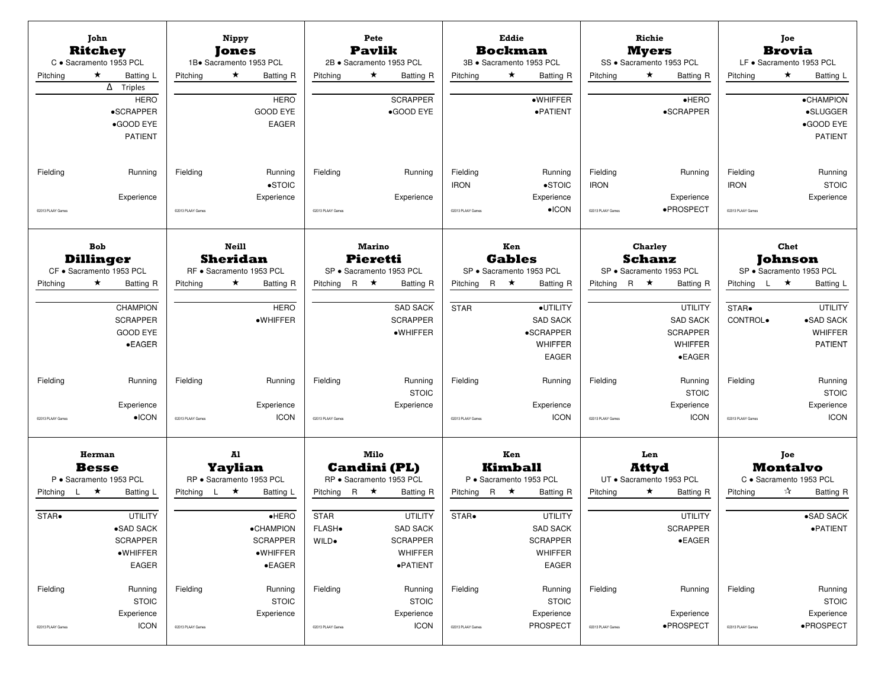| John<br><b>Ritchey</b><br>C · Sacramento 1953 PCL          |                                                                                          |                               | Nippy<br>Jones<br>1B. Sacramento 1953 PCL                                     |                                      | Pete<br><b>Pavlik</b>            | 2B · Sacramento 1953 PCL                                             |                                              | Eddie<br><b>Bockman</b> | 3B · Sacramento 1953 PCL                                                   |                                              | Richie<br><b>Myers</b>   | SS · Sacramento 1953 PCL                                                           | LF · Sacramento 1953 PCL                     | Joe<br><b>Brovia</b>   |                                                                   |
|------------------------------------------------------------|------------------------------------------------------------------------------------------|-------------------------------|-------------------------------------------------------------------------------|--------------------------------------|----------------------------------|----------------------------------------------------------------------|----------------------------------------------|-------------------------|----------------------------------------------------------------------------|----------------------------------------------|--------------------------|------------------------------------------------------------------------------------|----------------------------------------------|------------------------|-------------------------------------------------------------------|
| $\star$<br>Pitching                                        | Batting L<br>$\Delta$ Triples<br><b>HERO</b><br>•SCRAPPER<br>•GOOD EYE<br><b>PATIENT</b> | Pitching                      | $\star$<br><b>Batting R</b><br><b>HERO</b><br><b>GOOD EYE</b><br><b>EAGER</b> | Pitching                             | $\star$                          | <b>Batting R</b><br><b>SCRAPPER</b><br>•GOOD EYE                     | Pitching                                     | $\star$                 | Batting R<br>·WHIFFER<br>·PATIENT                                          | Pitching                                     | $\star$                  | <b>Batting R</b><br>$\bullet$ HERO<br>•SCRAPPER                                    | Pitching                                     | ★                      | Batting L<br>·CHAMPION<br>•SLUGGER<br>•GOOD EYE<br><b>PATIENT</b> |
| Fielding<br>C2013 PLAAY Games                              | Running<br>Experience                                                                    | Fielding<br>@2013 PLAAY Games | Running<br>$\bullet$ STOIC<br>Experience                                      | Fielding<br>@2013 PLAAY Games        |                                  | Running<br>Experience                                                | Fielding<br><b>IRON</b><br>@2013 PLAAY Games |                         | Running<br>$\bullet$ STOIC<br>Experience<br>$\bullet$ ICON                 | Fielding<br><b>IRON</b><br>@2013 PLAAY Games |                          | Running<br>Experience<br>·PROSPECT                                                 | Fielding<br><b>IRON</b><br>@2013 PLAAY Games |                        | Running<br><b>STOIC</b><br>Experience                             |
| <b>Bob</b><br><b>Dillinger</b><br>CF · Sacramento 1953 PCL |                                                                                          |                               | <b>Neill</b><br><b>Sheridan</b><br>RF · Sacramento 1953 PCL                   |                                      | <b>Marino</b><br><b>Pieretti</b> | SP · Sacramento 1953 PCL                                             |                                              | Ken<br><b>Gables</b>    | SP · Sacramento 1953 PCL                                                   |                                              | Charley<br><b>Schanz</b> | SP · Sacramento 1953 PCL                                                           |                                              | Chet<br><b>Johnson</b> | SP · Sacramento 1953 PCL                                          |
| $\star$<br>Pitching                                        | <b>Batting R</b>                                                                         | Pitching                      | $\star$<br><b>Batting R</b>                                                   | Pitching                             | R $\star$                        | <b>Batting R</b>                                                     | Pitching                                     | R $\star$               | <b>Batting R</b>                                                           | Pitching                                     | R ★                      | <b>Batting R</b>                                                                   | Pitching $L \star$                           |                        | Batting L                                                         |
|                                                            | <b>CHAMPION</b><br><b>SCRAPPER</b><br><b>GOOD EYE</b><br>$\bullet$ EAGER                 |                               | <b>HERO</b><br>·WHIFFER                                                       |                                      |                                  | <b>SAD SACK</b><br><b>SCRAPPER</b><br>·WHIFFER                       | <b>STAR</b>                                  |                         | ·UTILITY<br><b>SAD SACK</b><br>•SCRAPPER<br><b>WHIFFER</b><br><b>EAGER</b> |                                              |                          | <b>UTILITY</b><br><b>SAD SACK</b><br><b>SCRAPPER</b><br>WHIFFER<br>$\bullet$ EAGER | STAR.<br>CONTROL.                            |                        | <b>UTILITY</b><br>•SAD SACK<br><b>WHIFFER</b><br><b>PATIENT</b>   |
| Fielding                                                   | Running                                                                                  | Fielding                      | Running                                                                       | Fielding                             |                                  | Running<br><b>STOIC</b>                                              | Fielding                                     |                         | Running                                                                    | Fielding                                     |                          | Running<br><b>STOIC</b>                                                            | Fielding                                     |                        | Running<br><b>STOIC</b>                                           |
| C2013 PLAAY Games                                          | Experience<br>$\bullet$ ICON                                                             | @2013 PLAAY Games             | Experience<br><b>ICON</b>                                                     | @2013 PLAAY Games                    |                                  | Experience                                                           | @2013 PLAAY Games                            |                         | Experience<br><b>ICON</b>                                                  | @2013 PLAAY Games                            |                          | Experience<br><b>ICON</b>                                                          | @2013 PLAAY Games                            |                        | Experience<br><b>ICON</b>                                         |
| Herman<br><b>Besse</b><br>P · Sacramento 1953 PCL          |                                                                                          |                               | A1<br>Yaylian<br>RP · Sacramento 1953 PCL                                     |                                      | Milo                             | <b>Candini (PL)</b><br>RP · Sacramento 1953 PCL                      |                                              | Ken<br><b>Kimball</b>   | P · Sacramento 1953 PCL                                                    |                                              | Len<br><b>Attyd</b>      | UT · Sacramento 1953 PCL                                                           | C · Sacramento 1953 PCL                      | Joe<br><b>Montalvo</b> |                                                                   |
| Pitching $L \star$                                         | Batting L                                                                                | Pitching L $\star$            | Batting L                                                                     |                                      | Pitching R $\star$               | <b>Batting R</b>                                                     | Pitching R $\star$                           |                         | <b>Batting R</b>                                                           | Pitching                                     | $\star$                  | <b>Batting R</b>                                                                   | Pitching                                     | ☆                      | <b>Batting R</b>                                                  |
| STAR.                                                      | <b>UTILITY</b><br>$\bullet$ SAD SACK<br><b>SCRAPPER</b><br>·WHIFFER<br>EAGER             |                               | $\bullet$ HERO<br>·CHAMPION<br><b>SCRAPPER</b><br>·WHIFFER<br>$\bullet$ EAGER | <b>STAR</b><br><b>FLASH</b><br>WILD. |                                  | <b>UTILITY</b><br>SAD SACK<br><b>SCRAPPER</b><br>WHIFFER<br>·PATIENT | STAR.                                        |                         | <b>UTILITY</b><br>SAD SACK<br><b>SCRAPPER</b><br>WHIFFER<br><b>EAGER</b>   |                                              |                          | <b>UTILITY</b><br><b>SCRAPPER</b><br>$\bullet$ EAGER                               |                                              |                        | •SAD SACK<br>$\bullet$ PATIENT                                    |
| Fielding                                                   | Running<br><b>STOIC</b><br>Experience                                                    | Fielding                      | Running<br><b>STOIC</b><br>Experience                                         | Fielding                             |                                  | Running<br><b>STOIC</b><br>Experience                                | Fielding                                     |                         | Running<br><b>STOIC</b><br>Experience                                      | Fielding                                     |                          | Running<br>Experience                                                              | Fielding                                     |                        | Running<br><b>STOIC</b><br>Experience                             |
| @2013 PLAAY Games                                          | <b>ICON</b>                                                                              | @2013 PLAAY Games             |                                                                               | @2013 PLAAY Games                    |                                  | <b>ICON</b>                                                          | @2013 PLAAY Games                            |                         | <b>PROSPECT</b>                                                            | @2013 PLAAY Games                            |                          | ·PROSPECT                                                                          | @2013 PLAAY Games                            |                        | ·PROSPECT                                                         |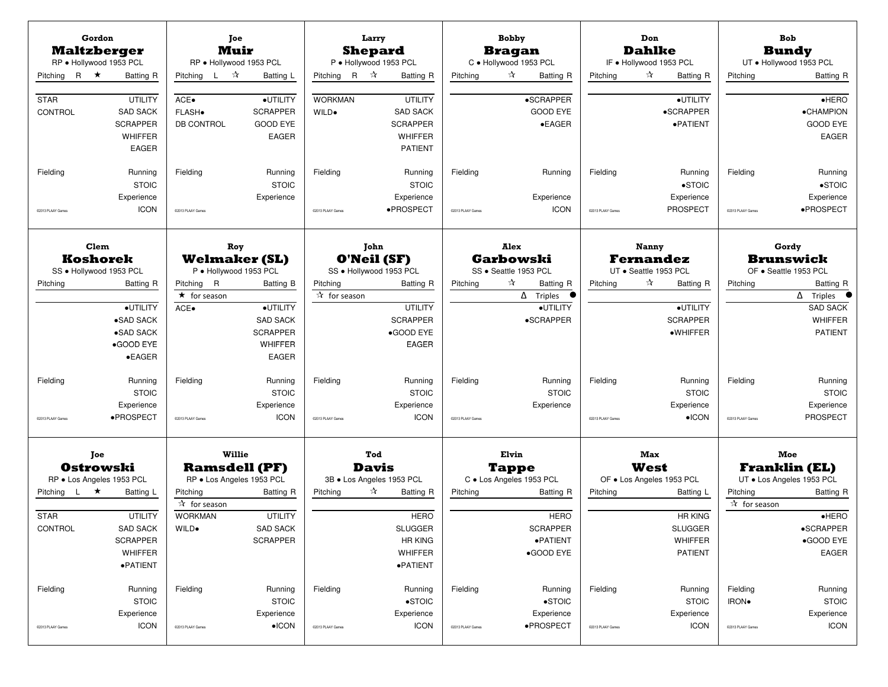| Gordon<br><b>Maltzberger</b><br>RP · Hollywood 1953 PCL<br>Pitching R $\star$                     | Batting R                                                                                | Toe<br><b>Muir</b><br>RP · Hollywood 1953 PCL<br>Pitching L $\mathcal{R}$                                                       | Batting L                                                                                     | Larry<br><b>Shepard</b><br>Pitching R $\mathcal{R}$                       | P · Hollywood 1953 PCL<br><b>Batting R</b>                                                                                          | Pitching                      | <b>Bobby</b><br><b>Bragan</b><br>C · Hollywood 1953 PCL<br>☆                                  | Batting R                                 | Pitching                      | Don<br><b>Dahlke</b><br>IF . Hollywood 1953 PCL<br>☆<br>Batting R                                                      | Pitching                               | <b>Bob</b><br><b>Bundy</b><br>UT . Hollywood 1953 PCL<br><b>Batting R</b>                                                         |
|---------------------------------------------------------------------------------------------------|------------------------------------------------------------------------------------------|---------------------------------------------------------------------------------------------------------------------------------|-----------------------------------------------------------------------------------------------|---------------------------------------------------------------------------|-------------------------------------------------------------------------------------------------------------------------------------|-------------------------------|-----------------------------------------------------------------------------------------------|-------------------------------------------|-------------------------------|------------------------------------------------------------------------------------------------------------------------|----------------------------------------|-----------------------------------------------------------------------------------------------------------------------------------|
| <b>STAR</b><br>CONTROL                                                                            | <b>UTILITY</b><br><b>SAD SACK</b><br><b>SCRAPPER</b><br><b>WHIFFER</b><br><b>EAGER</b>   | ACE.<br>FLASH.<br><b>DB CONTROL</b>                                                                                             | ·UTILITY<br><b>SCRAPPER</b><br><b>GOOD EYE</b><br><b>EAGER</b>                                | <b>WORKMAN</b><br>WILD.                                                   | <b>UTILITY</b><br><b>SAD SACK</b><br><b>SCRAPPER</b><br>WHIFFER<br><b>PATIENT</b>                                                   |                               | •SCRAPPER<br><b>GOOD EYE</b>                                                                  | $\bullet$ EAGER                           |                               | ·UTILITY<br>•SCRAPPER<br>·PATIENT                                                                                      |                                        | $e$ HERO<br><b>•CHAMPION</b><br><b>GOOD EYE</b><br>EAGER                                                                          |
| Fielding<br>C2013 PLAAY Games                                                                     | Running<br><b>STOIC</b><br>Experience<br><b>ICON</b>                                     | Fielding<br>@2013 PLAAY Games                                                                                                   | Running<br><b>STOIC</b><br>Experience                                                         | Fielding<br>@2013 PLAAY Games                                             | Running<br><b>STOIC</b><br>Experience<br>·PROSPECT                                                                                  | Fielding<br>@2013 PLAAY Games | Experience                                                                                    | Running<br><b>ICON</b>                    | Fielding<br>@2013 PLAAY Games | Running<br>$\bullet$ STOIC<br>Experience<br>PROSPECT                                                                   | Fielding<br>@2013 PLAAY Games          | Running<br>$\bullet$ STOIC<br>Experience<br>·PROSPECT                                                                             |
| Clem<br>Koshorek                                                                                  |                                                                                          | Roy<br><b>Welmaker (SL)</b>                                                                                                     |                                                                                               | John<br>O'Neil (SF)                                                       |                                                                                                                                     |                               | Alex<br><b>Garbowski</b>                                                                      |                                           |                               | <b>Nanny</b><br><b>Fernandez</b>                                                                                       |                                        | Gordy<br><b>Brunswick</b>                                                                                                         |
| SS · Hollywood 1953 PCL<br>Pitching                                                               | <b>Batting R</b><br>·UTILITY<br>•SAD SACK<br>•SAD SACK<br>•GOOD EYE<br>$\bullet$ EAGER   | P · Hollywood 1953 PCL<br>Pitching R<br>$\star$ for season<br>ACE.                                                              | Batting B<br>·UTILITY<br><b>SAD SACK</b><br><b>SCRAPPER</b><br><b>WHIFFER</b><br><b>EAGER</b> | SS · Hollywood 1953 PCL<br>Pitching<br>$\overline{\mathbf{r}}$ for season | <b>Batting R</b><br><b>UTILITY</b><br><b>SCRAPPER</b><br>·GOOD EYE<br>EAGER                                                         | Pitching                      | SS · Seattle 1953 PCL<br>☆<br>$\Delta$ Triples<br>•SCRAPPER                                   | <b>Batting R</b><br>$\bullet$<br>·UTILITY | Pitching                      | UT · Seattle 1953 PCL<br>☆<br><b>Batting R</b><br>·UTILITY<br><b>SCRAPPER</b><br>$\bullet$ WHIFFER                     | Pitching                               | OF · Seattle 1953 PCL<br>Batting R<br>$\Delta$ Triples<br><b>SAD SACK</b><br><b>WHIFFER</b><br><b>PATIENT</b>                     |
| Fielding<br>02013 PLAAY Games                                                                     | Running<br><b>STOIC</b><br>Experience<br>·PROSPECT                                       | Fielding<br>02013 PLAAY Games                                                                                                   | Running<br><b>STOIC</b><br>Experience<br><b>ICON</b>                                          | Fielding<br>@2013 PLAAY Games                                             | Running<br><b>STOIC</b><br>Experience<br><b>ICON</b>                                                                                | Fielding<br>02013 PLAAY Games | Experience                                                                                    | Running<br><b>STOIC</b>                   | Fielding<br>@2013 PLAAY Games | Running<br><b>STOIC</b><br>Experience<br>$\bullet$ ICON                                                                | Fielding<br>@2013 PLAAY Games          | Running<br><b>STOIC</b><br>Experience<br><b>PROSPECT</b>                                                                          |
| Toe<br><b>Ostrowski</b><br>RP · Los Angeles 1953 PCL<br>Pitching L<br>★<br><b>STAR</b><br>CONTROL | Batting L<br><b>UTILITY</b><br><b>SAD SACK</b><br><b>SCRAPPER</b><br>WHIFFER<br>·PATIENT | Willie<br><b>Ramsdell (PF)</b><br>RP . Los Angeles 1953 PCL<br>Pitching<br>$\overline{A}$ for season<br><b>WORKMAN</b><br>WILD. | <b>Batting R</b><br><b>UTILITY</b><br><b>SAD SACK</b><br><b>SCRAPPER</b>                      | <b>Davis</b><br>Pitching                                                  | Tod<br>3B · Los Angeles 1953 PCL<br>☆<br><b>Batting R</b><br><b>HERO</b><br><b>SLUGGER</b><br><b>HR KING</b><br>WHIFFER<br>·PATIENT | Pitching                      | Elvin<br><b>Tappe</b><br>C · Los Angeles 1953 PCL<br><b>SCRAPPER</b><br>·PATIENT<br>•GOOD EYE | <b>Batting R</b><br><b>HERO</b>           | Pitching                      | Max<br>West<br>OF . Los Angeles 1953 PCL<br>Batting L<br><b>HR KING</b><br><b>SLUGGER</b><br>WHIFFER<br><b>PATIENT</b> | Pitching<br>☆ for season               | Moe<br><b>Franklin (EL)</b><br>UT . Los Angeles 1953 PCL<br><b>Batting R</b><br>$\bullet$ HERO<br>•SCRAPPER<br>•GOOD EYE<br>EAGER |
| Fielding<br>02013 PLAAY Games                                                                     | Running<br><b>STOIC</b><br>Experience<br><b>ICON</b>                                     | Fielding<br>@2013 PLAAY Games                                                                                                   | Running<br><b>STOIC</b><br>Experience<br>$\bullet$ ICON                                       | Fielding<br>@2013 PLAAY Games                                             | Running<br>$\bullet$ STOIC<br>Experience<br><b>ICON</b>                                                                             | Fielding<br>@2013 PLAAY Games | Experience<br>·PROSPECT                                                                       | Running<br>$\bullet$ STOIC                | Fielding<br>@2013 PLAAY Games | Running<br><b>STOIC</b><br>Experience<br><b>ICON</b>                                                                   | Fielding<br>IRON.<br>@2013 PLAAY Games | Running<br><b>STOIC</b><br>Experience<br><b>ICON</b>                                                                              |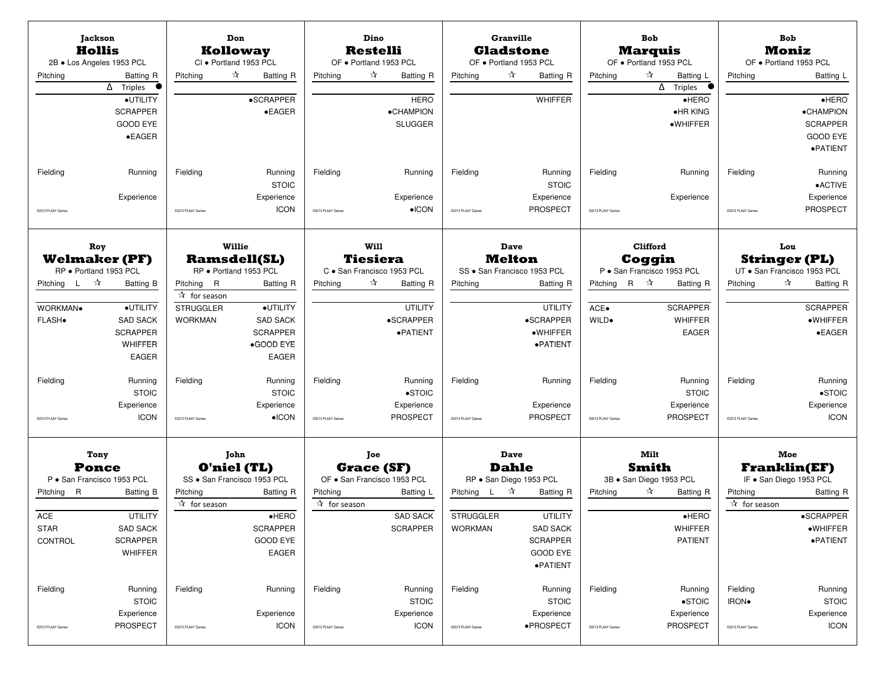| <b>Jackson</b><br><b>Hollis</b><br>2B · Los Angeles 1953 PCL<br>Pitching                          | <b>Batting R</b><br>$\overline{\Delta}$ Triples<br>·UTILITY<br><b>SCRAPPER</b><br><b>GOOD EYE</b>    | Pitching                                                                      | Don<br><b>Kolloway</b><br>CI · Portland 1953 PCL<br>☆<br>Batting R<br><b>•SCRAPPER</b><br>$\bullet$ EAGER                                                  | Pitching                      | Dino<br><b>Restelli</b><br>OF · Portland 1953 PCL<br>☆<br>Batting R<br><b>HERO</b><br>·CHAMPION<br><b>SLUGGER</b>  | Pitching                                                            | <b>Granville</b><br><b>Gladstone</b><br>OF . Portland 1953 PCL<br>☆<br><b>Batting R</b><br><b>WHIFFER</b>                                                  | Pitching                                       | Bob<br><b>Marquis</b><br>OF · Portland 1953 PCL<br>$\tau$<br>Batting L<br>$\overline{\Delta}$ Triples<br>$\bullet$<br>$e$ HERO<br>$\bullet$ HR KING<br>·WHIFFER | Pitching                               | <b>Bob</b><br><b>Moniz</b><br>OF . Portland 1953 PCL<br>Batting L<br>$e$ HERO<br>•CHAMPION<br><b>SCRAPPER</b>                                   |
|---------------------------------------------------------------------------------------------------|------------------------------------------------------------------------------------------------------|-------------------------------------------------------------------------------|------------------------------------------------------------------------------------------------------------------------------------------------------------|-------------------------------|--------------------------------------------------------------------------------------------------------------------|---------------------------------------------------------------------|------------------------------------------------------------------------------------------------------------------------------------------------------------|------------------------------------------------|-----------------------------------------------------------------------------------------------------------------------------------------------------------------|----------------------------------------|-------------------------------------------------------------------------------------------------------------------------------------------------|
| Fielding<br>02013 PLAAY Games                                                                     | $\bullet$ EAGER<br>Running<br>Experience                                                             | Fielding<br>@2013 PLAAY Games                                                 | Running<br><b>STOIC</b><br>Experience<br><b>ICON</b>                                                                                                       | Fielding<br>@2013 PLAAY Games | Running<br>Experience<br>$\bullet$ ICON                                                                            | Fielding<br>@2013 PLAAY Games                                       | Running<br><b>STOIC</b><br>Experience<br><b>PROSPECT</b>                                                                                                   | Fielding<br>@2013 PLAAY Games                  | Running<br>Experience                                                                                                                                           | Fielding<br>@2013 PLAAY Games          | <b>GOOD EYE</b><br>·PATIENT<br>Running<br>•ACTIVE<br>Experience<br>PROSPECT                                                                     |
| Roy<br><b>Welmaker (PF)</b><br>RP · Portland 1953 PCL<br>Pitching L ☆<br>WORKMAN.<br><b>FLASH</b> | <b>Batting B</b><br>·UTILITY<br><b>SAD SACK</b><br><b>SCRAPPER</b><br><b>WHIFFER</b><br><b>EAGER</b> | Pitching R<br>$\overline{4}$ for season<br><b>STRUGGLER</b><br><b>WORKMAN</b> | Willie<br><b>Ramsdell(SL)</b><br>RP · Portland 1953 PCL<br><b>Batting R</b><br>·UTILITY<br><b>SAD SACK</b><br><b>SCRAPPER</b><br>•GOOD EYE<br><b>EAGER</b> | Pitching                      | Will<br><b>Tiesiera</b><br>C · San Francisco 1953 PCL<br>☆<br>Batting R<br><b>UTILITY</b><br>•SCRAPPER<br>·PATIENT | Pitching                                                            | Dave<br><b>Melton</b><br>SS · San Francisco 1953 PCL<br><b>Batting R</b><br><b>UTILITY</b><br>•SCRAPPER<br>·WHIFFER<br>·PATIENT                            | Pitching R $\mathbb{\hat{X}}$<br>ACE.<br>WILD. | Clifford<br>Coggin<br>P · San Francisco 1953 PCL<br><b>Batting R</b><br><b>SCRAPPER</b><br><b>WHIFFER</b><br><b>EAGER</b>                                       | Pitching                               | Lou<br><b>Stringer (PL)</b><br>UT · San Francisco 1953 PCL<br>$\approx$<br>Batting R<br><b>SCRAPPER</b><br>$\bullet$ WHIFFER<br>$\bullet$ EAGER |
| Fielding<br>C2013 PLAAY Games                                                                     | Running<br><b>STOIC</b><br>Experience<br><b>ICON</b>                                                 | Fielding<br>@2013 PLAAY Games                                                 | Running<br><b>STOIC</b><br>Experience<br>$\bullet$ ICON                                                                                                    | Fielding<br>@2013 PLAAY Games | Running<br>$\bullet$ STOIC<br>Experience<br><b>PROSPECT</b>                                                        | Fielding<br>02013 PLAAY Games                                       | Running<br>Experience<br><b>PROSPECT</b>                                                                                                                   | Fielding<br>02013 PLAAY Games                  | Running<br><b>STOIC</b><br>Experience<br>PROSPECT                                                                                                               | Fielding<br>@2013 PLAAY Games          | Running<br>$\bullet$ STOIC<br>Experience<br><b>ICON</b>                                                                                         |
| Tony<br><b>Ponce</b><br>P · San Francisco 1953 PCL<br>Pitching R<br>ACE<br><b>STAR</b><br>CONTROL | Batting B<br><b>UTILITY</b><br><b>SAD SACK</b><br><b>SCRAPPER</b><br>WHIFFER                         | Pitching<br>☆ for season                                                      | John<br><b>O'niel (TL)</b><br>SS · San Francisco 1953 PCL<br><b>Batting R</b><br>$\bullet$ HERO<br><b>SCRAPPER</b><br><b>GOOD EYE</b><br>EAGER             | Pitching<br>☆ for season      | <b>Joe</b><br><b>Grace (SF)</b><br>OF . San Francisco 1953 PCL<br>Batting L<br><b>SAD SACK</b><br><b>SCRAPPER</b>  | Pitching L $\mathbb{\hat{X}}$<br><b>STRUGGLER</b><br><b>WORKMAN</b> | Dave<br><b>Dahle</b><br>RP · San Diego 1953 PCL<br><b>Batting R</b><br><b>UTILITY</b><br><b>SAD SACK</b><br><b>SCRAPPER</b><br><b>GOOD EYE</b><br>·PATIENT | Pitching                                       | Milt<br><b>Smith</b><br>3B · San Diego 1953 PCL<br>☆<br><b>Batting R</b><br>$\bullet$ HERO<br>WHIFFER<br><b>PATIENT</b>                                         | Pitching<br>$\overline{A}$ for season  | Moe<br><b>Franklin(EF)</b><br>IF . San Diego 1953 PCL<br><b>Batting R</b><br>•SCRAPPER<br>$\bullet$ WHIFFER<br>·PATIENT                         |
| Fielding<br>02013 PLAAY Games                                                                     | Running<br><b>STOIC</b><br>Experience<br>PROSPECT                                                    | Fielding<br>02013 PLAAY Games                                                 | Running<br>Experience<br><b>ICON</b>                                                                                                                       | Fielding<br>@2013 PLAAY Games | Running<br><b>STOIC</b><br>Experience<br><b>ICON</b>                                                               | Fielding<br>@2013 PLAAY Games                                       | Running<br><b>STOIC</b><br>Experience<br>·PROSPECT                                                                                                         | Fielding<br>@2013 PLAAY Games                  | Running<br>$\bullet$ STOIC<br>Experience<br>PROSPECT                                                                                                            | Fielding<br>IRON.<br>@2013 PLAAY Games | Running<br><b>STOIC</b><br>Experience<br><b>ICON</b>                                                                                            |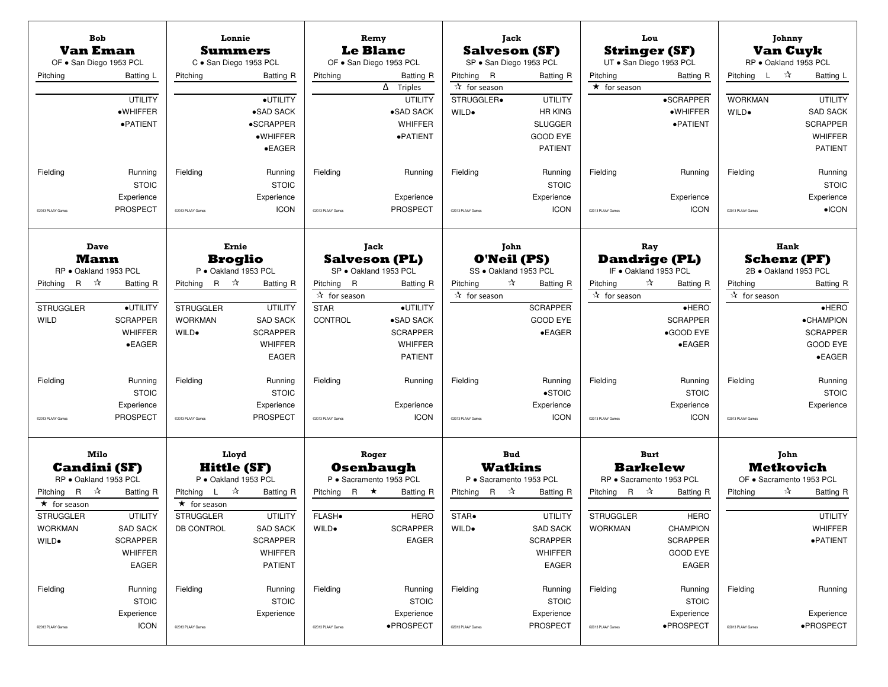| <b>Bob</b><br><b>Van Eman</b><br>OF . San Diego 1953 PCL |                 | Lonnie<br><b>Summers</b><br>C · San Diego 1953 PCL         |                   | Remy<br><b>Le Blanc</b>                 | OF . San Diego 1953 PCL                       |                                             | Jack<br><b>Salveson (SF)</b><br>SP · San Diego 1953 PCL | Lou<br><b>Stringer (SF)</b><br>UT · San Diego 1953 PCL |                  |                               | Johnny<br><b>Van Cuyk</b><br>RP · Oakland 1953 PCL |
|----------------------------------------------------------|-----------------|------------------------------------------------------------|-------------------|-----------------------------------------|-----------------------------------------------|---------------------------------------------|---------------------------------------------------------|--------------------------------------------------------|------------------|-------------------------------|----------------------------------------------------|
| Pitching                                                 | Batting L       | Pitching                                                   | <b>Batting R</b>  | Pitching                                | <b>Batting R</b>                              | Pitching R                                  | <b>Batting R</b>                                        | Pitching                                               | <b>Batting R</b> | Pitching L $\mathbb{\hat{X}}$ | Batting L                                          |
|                                                          | <b>UTILITY</b>  |                                                            | ·UTILITY          |                                         | $\overline{\Delta}$ Triples<br><b>UTILITY</b> | $\mathbf{\hat{x}}$ for season<br>STRUGGLER. | <b>UTILITY</b>                                          | $\star$ for season                                     | •SCRAPPER        | <b>WORKMAN</b>                | <b>UTILITY</b>                                     |
|                                                          | ·WHIFFER        |                                                            | •SAD SACK         |                                         | •SAD SACK                                     | WILD.                                       | <b>HR KING</b>                                          |                                                        | ·WHIFFER         | WILD.                         | <b>SAD SACK</b>                                    |
|                                                          | ·PATIENT        |                                                            | •SCRAPPER         |                                         | <b>WHIFFER</b>                                |                                             | <b>SLUGGER</b>                                          |                                                        | ·PATIENT         |                               | <b>SCRAPPER</b>                                    |
|                                                          |                 |                                                            | $\bullet$ WHIFFER |                                         | ·PATIENT                                      |                                             | <b>GOOD EYE</b>                                         |                                                        |                  |                               | <b>WHIFFER</b>                                     |
|                                                          |                 |                                                            | $\bullet$ EAGER   |                                         |                                               |                                             | <b>PATIENT</b>                                          |                                                        |                  |                               | <b>PATIENT</b>                                     |
| Fielding                                                 | Running         | Fielding                                                   | Running           | Fielding                                | Running                                       | Fielding                                    | Running                                                 | Fielding                                               | Running          | Fielding                      | Running                                            |
|                                                          | <b>STOIC</b>    |                                                            | <b>STOIC</b>      |                                         |                                               |                                             | <b>STOIC</b>                                            |                                                        |                  |                               | <b>STOIC</b>                                       |
|                                                          | Experience      |                                                            | Experience        |                                         | Experience                                    |                                             | Experience                                              |                                                        | Experience       |                               | Experience                                         |
| 02013 PLAAY Games                                        | <b>PROSPECT</b> | 02013 PLAAY Games                                          | <b>ICON</b>       | @2013 PLAAY Games                       | <b>PROSPECT</b>                               | 02013 PLAAY Games                           | <b>ICON</b>                                             | 02013 PLAAY Games                                      | <b>ICON</b>      | C2013 PLAAY Game              | $\bullet$ ICON                                     |
| Dave                                                     |                 | Ernie                                                      |                   |                                         | Jack                                          |                                             | John                                                    | Ray                                                    |                  |                               | Hank                                               |
| <b>Mann</b>                                              |                 | <b>Broglio</b>                                             |                   | <b>Salveson (PL)</b>                    |                                               |                                             | <b>O'Neil (PS)</b>                                      | <b>Dandrige (PL)</b>                                   |                  |                               | <b>Schenz (PF)</b>                                 |
| RP · Oakland 1953 PCL<br>Pitching R $\mathbb{\hat{X}}$   |                 | P · Oakland 1953 PCL<br>Pitching R $\mathbb{\hat{A}}$      |                   | SP · Oakland 1953 PCL                   |                                               | Pitching                                    | SS · Oakland 1953 PCL<br>☆                              | IF . Oakland 1953 PCL<br>☆<br>Pitching                 |                  | Pitching                      | 2B · Oakland 1953 PCL                              |
|                                                          | Batting R       |                                                            | Batting R         | Pitching R<br>$\overline{X}$ for season | <b>Batting R</b>                              | ☆ for season                                | <b>Batting R</b>                                        | $\sqrt[3]{ }$ for season                               | Batting R        | ☆ for season                  | Batting R                                          |
| <b>STRUGGLER</b>                                         | ·UTILITY        | <b>STRUGGLER</b>                                           | <b>UTILITY</b>    | <b>STAR</b>                             | ·UTILITY                                      |                                             | <b>SCRAPPER</b>                                         |                                                        | $\bullet$ HERO   |                               | $e$ HERO                                           |
| <b>WILD</b>                                              | <b>SCRAPPER</b> | <b>WORKMAN</b>                                             | <b>SAD SACK</b>   | CONTROL                                 | •SAD SACK                                     |                                             | <b>GOOD EYE</b>                                         |                                                        | <b>SCRAPPER</b>  |                               | <b>•CHAMPION</b>                                   |
|                                                          | <b>WHIFFER</b>  | WILD.                                                      | <b>SCRAPPER</b>   |                                         | <b>SCRAPPER</b>                               |                                             | $\bullet$ EAGER                                         |                                                        | •GOOD EYE        |                               | <b>SCRAPPER</b>                                    |
|                                                          | $\bullet$ EAGER |                                                            | <b>WHIFFER</b>    |                                         | <b>WHIFFER</b>                                |                                             |                                                         |                                                        | $\bullet$ EAGER  |                               | <b>GOOD EYE</b>                                    |
|                                                          |                 |                                                            | <b>EAGER</b>      |                                         | <b>PATIENT</b>                                |                                             |                                                         |                                                        |                  |                               | $\bullet$ EAGER                                    |
| Fielding                                                 | Running         | Fielding                                                   | Running           | Fielding                                | Running                                       | Fielding                                    | Running                                                 | Fielding                                               | Running          | Fielding                      | Running                                            |
|                                                          | <b>STOIC</b>    |                                                            | <b>STOIC</b>      |                                         |                                               |                                             | $\bullet$ STOIC                                         |                                                        | <b>STOIC</b>     |                               | <b>STOIC</b>                                       |
|                                                          | Experience      |                                                            | Experience        |                                         | Experience                                    |                                             | Experience                                              |                                                        | Experience       |                               | Experience                                         |
| 02013 PLAAY Games                                        | <b>PROSPECT</b> | @2013 PLAAY Games                                          | <b>PROSPECT</b>   | @2013 PLAAY Games                       | <b>ICON</b>                                   | @2013 PLAAY Games                           | <b>ICON</b>                                             | @2013 PLAAY Games                                      | <b>ICON</b>      | @2013 PLAAY Games             |                                                    |
| Milo                                                     |                 | Lloyd                                                      |                   | Roger                                   |                                               |                                             | <b>Bud</b>                                              | <b>Burt</b>                                            |                  |                               | John                                               |
| <b>Candini (SF)</b>                                      |                 | <b>Hittle (SF)</b>                                         |                   | <b>Osenbaugh</b>                        |                                               | <b>Watkins</b>                              |                                                         | <b>Barkelew</b>                                        |                  |                               | <b>Metkovich</b>                                   |
| RP · Oakland 1953 PCL                                    |                 | P · Oakland 1953 PCL                                       |                   | P · Sacramento 1953 PCL                 |                                               |                                             | P · Sacramento 1953 PCL                                 | RP · Sacramento 1953 PCL                               |                  |                               | OF · Sacramento 1953 PCL                           |
| Pitching R $\mathcal{R}$<br>$\star$ for season           | Batting R       | Pitching $L \rightarrow \mathcal{R}$<br>$\star$ for season | <b>Batting R</b>  | Pitching R $\star$                      | <b>Batting R</b>                              | Pitching R $\mathcal{R}$                    | <b>Batting R</b>                                        | Pitching R $\mathcal{R}$                               | Batting R        | Pitching                      | ☆<br>Batting R                                     |
| <b>STRUGGLER</b>                                         | <b>UTILITY</b>  | <b>STRUGGLER</b>                                           | <b>UTILITY</b>    | FLASH.                                  | <b>HERO</b>                                   | STAR.                                       | <b>UTILITY</b>                                          | <b>STRUGGLER</b>                                       | <b>HERO</b>      |                               | <b>UTILITY</b>                                     |
| <b>WORKMAN</b>                                           | <b>SAD SACK</b> | DB CONTROL                                                 | <b>SAD SACK</b>   | WILD.                                   | <b>SCRAPPER</b>                               | WILD.                                       | <b>SAD SACK</b>                                         | <b>WORKMAN</b>                                         | <b>CHAMPION</b>  |                               | WHIFFER                                            |
| WILD.                                                    | <b>SCRAPPER</b> |                                                            | <b>SCRAPPER</b>   |                                         | <b>EAGER</b>                                  |                                             | <b>SCRAPPER</b>                                         |                                                        | <b>SCRAPPER</b>  |                               | $\bullet$ PATIENT                                  |
|                                                          | WHIFFER         |                                                            | WHIFFER           |                                         |                                               |                                             | WHIFFER                                                 |                                                        | <b>GOOD EYE</b>  |                               |                                                    |
|                                                          | EAGER           |                                                            | <b>PATIENT</b>    |                                         |                                               |                                             | <b>EAGER</b>                                            |                                                        | <b>EAGER</b>     |                               |                                                    |
| Fielding                                                 | Running         | Fielding                                                   | Running           | Fielding                                | Running                                       | Fielding                                    | Running                                                 | Fielding                                               | Running          | Fielding                      | Running                                            |
|                                                          | <b>STOIC</b>    |                                                            | <b>STOIC</b>      |                                         | <b>STOIC</b>                                  |                                             | <b>STOIC</b>                                            |                                                        | <b>STOIC</b>     |                               |                                                    |
|                                                          | Experience      |                                                            | Experience        |                                         | Experience                                    |                                             | Experience                                              |                                                        | Experience       |                               | Experience                                         |
| 02013 PLAAY Games                                        | <b>ICON</b>     | @2013 PLAAY Games                                          |                   | @2013 PLAAY Games                       | •PROSPECT                                     | @2013 PLAAY Games                           | PROSPECT                                                | @2013 PLAAY Games                                      | •PROSPECT        | @2013 PLAAY Games             | ·PROSPECT                                          |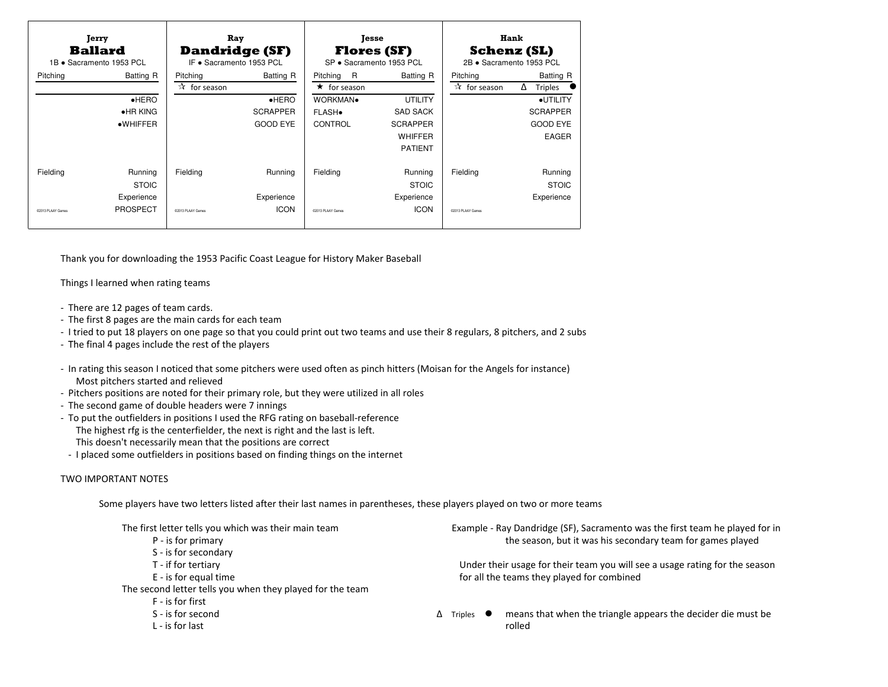| Hank<br><b>Jesse</b><br><b>Flores (SF)</b><br><b>Schenz (SL)</b>                                                              |
|-------------------------------------------------------------------------------------------------------------------------------|
|                                                                                                                               |
|                                                                                                                               |
| SP · Sacramento 1953 PCL<br>2B · Sacramento 1953 PCL                                                                          |
| R<br>Batting R<br>Batting R<br>Pitching                                                                                       |
| $\star$ for season<br>$\mathbf{\hat{x}}$ for season<br>Δ<br><b>Triples</b>                                                    |
| WORKMAN.<br><b>UTILITY</b><br>·UTILITY                                                                                        |
| <b>SAD SACK</b><br><b>SCRAPPER</b>                                                                                            |
| <b>GOOD EYE</b><br><b>SCRAPPER</b>                                                                                            |
| WHIFFER<br><b>EAGER</b>                                                                                                       |
| <b>PATIENT</b>                                                                                                                |
|                                                                                                                               |
| Running<br>Fielding<br>Running                                                                                                |
| <b>STOIC</b><br><b>STOIC</b>                                                                                                  |
| Experience<br>Experience                                                                                                      |
| <b>ICON</b><br>@2013 PLAAY Games                                                                                              |
|                                                                                                                               |
|                                                                                                                               |
|                                                                                                                               |
| Thank you for downloading the 1953 Pacific Coast League for History Maker Baseball                                            |
|                                                                                                                               |
|                                                                                                                               |
|                                                                                                                               |
| - I tried to put 18 players on one page so that you could print out two teams and use their 8 regulars, 8 pitchers, and 2 sub |
|                                                                                                                               |
|                                                                                                                               |

- There are 12 pages of team cards.
- The first 8 pages are the main cards for each team
- I tried to put 18 players on one page so that you could print out two teams and use their 8 regulars, 8 pitchers, and 2 subs
- The final 4 pages include the rest of the players
- In rating this season I noticed that some pitchers were used often as pinch hitters (Moisan for the Angels for instance) Most pitchers started and relieved
- Pitchers positions are noted for their primary role, but they were utilized in all roles
- The second game of double headers were 7 innings
- To put the outfielders in positions I used the RFG rating on baseball-referenceThe highest rfg is the centerfielder, the next is right and the last is left.This doesn't necessarily mean that the positions are correct
- I placed some outfielders in positions based on finding things on the internet

## TWO IMPORTANT NOTES

Some players have two letters listed after their last names in parentheses, these players played on two or more teams

| The first letter tells you which was their main team      | Example - Ray Dan     |
|-----------------------------------------------------------|-----------------------|
| P - is for primary                                        | the se                |
| S - is for secondary                                      |                       |
| T - if for tertiary                                       | Under their usage     |
| E - is for equal time                                     | for all the teams     |
| The second letter tells you when they played for the team |                       |
| F - is for first                                          |                       |
| S - is for second                                         | Δ<br>Triples<br>means |
| $L -$ is for last                                         | rolled                |
|                                                           |                       |

dridge (SF), Sacramento was the first team he played for in ason, but it was his secondary team for games played

e for their team you will see a usage rating for the season they played for combined

that when the triangle appears the decider die must be